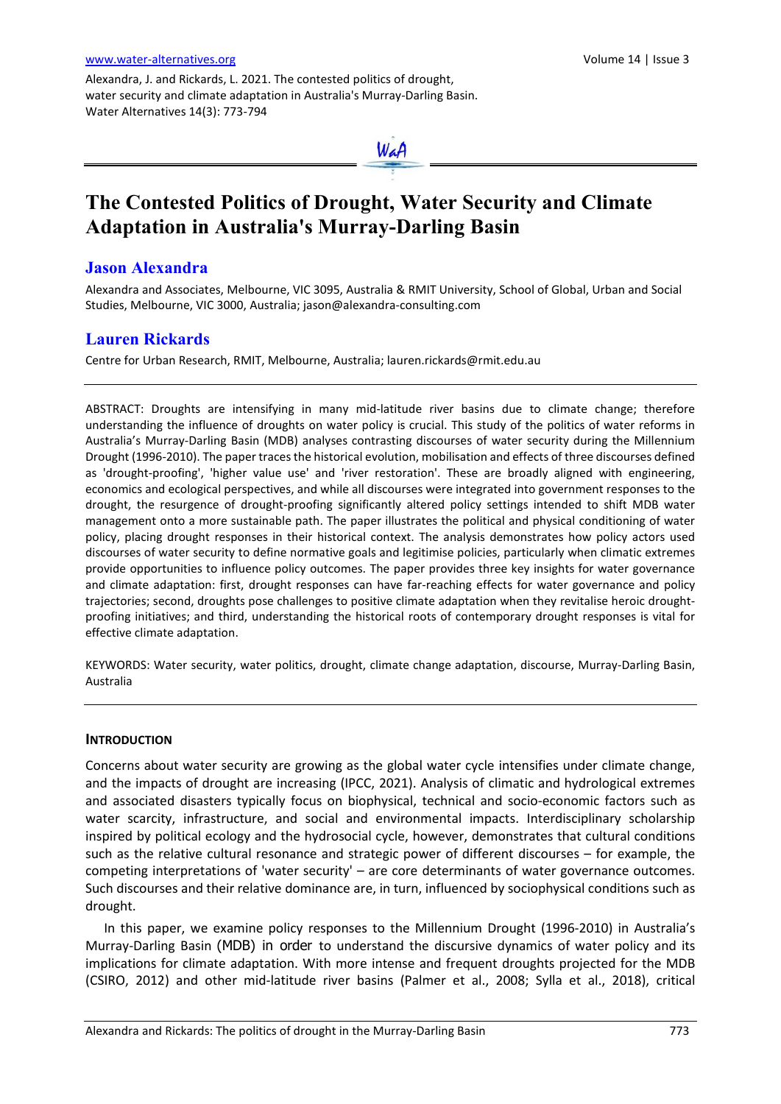Alexandra, J. and Rickards, L. 2021. The contested politics of drought, water security and climate adaptation in Australia's Murray-Darling Basin. Water Alternatives 14(3): 773-794



# **The Contested Politics of Drought, Water Security and Climate Adaptation in Australia's Murray-Darling Basin**

## **Jason Alexandra**

Alexandra and Associates, Melbourne, VIC 3095, Australia & RMIT University, School of Global, Urban and Social Studies, Melbourne, VIC 3000, Australia; [jason@alexandra-consulting.com](mailto:jason@alexandra-consulting.com)

## **Lauren Rickards**

Centre for Urban Research, RMIT, Melbourne, Australia; [lauren.rickards@rmit.edu.au](mailto:lauren.rickards@rmit.edu.au)

ABSTRACT: Droughts are intensifying in many mid-latitude river basins due to climate change; therefore understanding the influence of droughts on water policy is crucial. This study of the politics of water reforms in Australia's Murray-Darling Basin (MDB) analyses contrasting discourses of water security during the Millennium Drought (1996-2010). The paper traces the historical evolution, mobilisation and effects of three discourses defined as 'drought-proofing', 'higher value use' and 'river restoration'. These are broadly aligned with engineering, economics and ecological perspectives, and while all discourses were integrated into government responses to the drought, the resurgence of drought-proofing significantly altered policy settings intended to shift MDB water management onto a more sustainable path. The paper illustrates the political and physical conditioning of water policy, placing drought responses in their historical context. The analysis demonstrates how policy actors used discourses of water security to define normative goals and legitimise policies, particularly when climatic extremes provide opportunities to influence policy outcomes. The paper provides three key insights for water governance and climate adaptation: first, drought responses can have far-reaching effects for water governance and policy trajectories; second, droughts pose challenges to positive climate adaptation when they revitalise heroic droughtproofing initiatives; and third, understanding the historical roots of contemporary drought responses is vital for effective climate adaptation.

KEYWORDS: Water security, water politics, drought, climate change adaptation, discourse, Murray-Darling Basin, Australia

## **INTRODUCTION**

Concerns about water security are growing as the global water cycle intensifies under climate change, and the impacts of drought are increasing (IPCC, 2021). Analysis of climatic and hydrological extremes and associated disasters typically focus on biophysical, technical and socio-economic factors such as water scarcity, infrastructure, and social and environmental impacts. Interdisciplinary scholarship inspired by political ecology and the hydrosocial cycle, however, demonstrates that cultural conditions such as the relative cultural resonance and strategic power of different discourses – for example, the competing interpretations of 'water security' – are core determinants of water governance outcomes. Such discourses and their relative dominance are, in turn, influenced by sociophysical conditions such as drought.

In this paper, we examine policy responses to the Millennium Drought (1996-2010) in Australia's Murray-Darling Basin (MDB) in order to understand the discursive dynamics of water policy and its implications for climate adaptation. With more intense and frequent droughts projected for the MDB (CSIRO, 2012) and other mid-latitude river basins (Palmer et al., 2008; Sylla et al., 2018), critical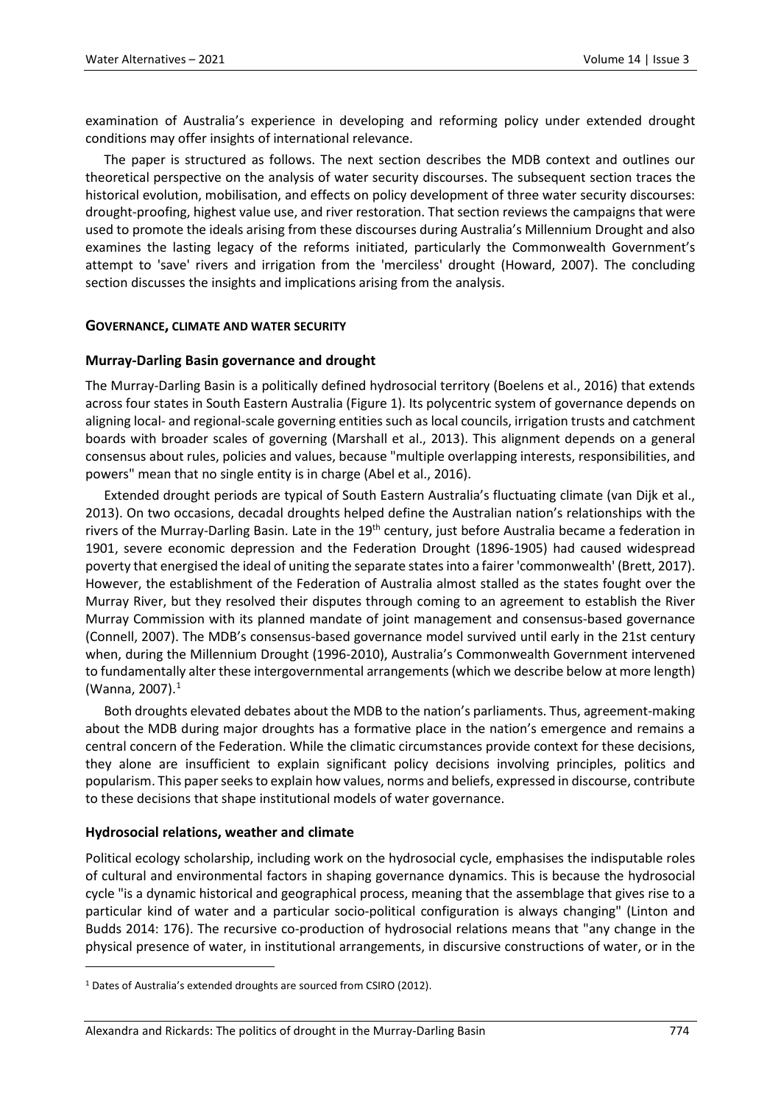examination of Australia's experience in developing and reforming policy under extended drought conditions may offer insights of international relevance.

The paper is structured as follows. The next section describes the MDB context and outlines our theoretical perspective on the analysis of water security discourses. The subsequent section traces the historical evolution, mobilisation, and effects on policy development of three water security discourses: drought-proofing, highest value use, and river restoration. That section reviews the campaigns that were used to promote the ideals arising from these discourses during Australia's Millennium Drought and also examines the lasting legacy of the reforms initiated, particularly the Commonwealth Government's attempt to 'save' rivers and irrigation from the 'merciless' drought (Howard, 2007). The concluding section discusses the insights and implications arising from the analysis.

#### **GOVERNANCE, CLIMATE AND WATER SECURITY**

## **Murray-Darling Basin governance and drought**

The Murray-Darling Basin is a politically defined hydrosocial territory (Boelens et al., 2016) that extends across four states in South Eastern Australia (Figure 1). Its polycentric system of governance depends on aligning local- and regional-scale governing entities such as local councils, irrigation trusts and catchment boards with broader scales of governing (Marshall et al., 2013). This alignment depends on a general consensus about rules, policies and values, because "multiple overlapping interests, responsibilities, and powers" mean that no single entity is in charge (Abel et al., 2016).

Extended drought periods are typical of South Eastern Australia's fluctuating climate (van Dijk et al., 2013). On two occasions, decadal droughts helped define the Australian nation's relationships with the rivers of the Murray-Darling Basin. Late in the 19<sup>th</sup> century, just before Australia became a federation in 1901, severe economic depression and the Federation Drought (1896-1905) had caused widespread poverty that energised the ideal of uniting the separate states into a fairer 'commonwealth' (Brett, 2017). However, the establishment of the Federation of Australia almost stalled as the states fought over the Murray River, but they resolved their disputes through coming to an agreement to establish the River Murray Commission with its planned mandate of joint management and consensus-based governance (Connell, 2007). The MDB's consensus-based governance model survived until early in the 21st century when, during the Millennium Drought (1996-2010), Australia's Commonwealth Government intervened to fundamentally alter these intergovernmental arrangements (which we describe below at more length) (Wanna, 2007).<sup>[1](#page-1-0)</sup>

Both droughts elevated debates about the MDB to the nation's parliaments. Thus, agreement-making about the MDB during major droughts has a formative place in the nation's emergence and remains a central concern of the Federation. While the climatic circumstances provide context for these decisions, they alone are insufficient to explain significant policy decisions involving principles, politics and popularism. This paper seeks to explain how values, norms and beliefs, expressed in discourse, contribute to these decisions that shape institutional models of water governance.

## **Hydrosocial relations, weather and climate**

 $\overline{a}$ 

Political ecology scholarship, including work on the hydrosocial cycle, emphasises the indisputable roles of cultural and environmental factors in shaping governance dynamics. This is because the hydrosocial cycle "is a dynamic historical and geographical process, meaning that the assemblage that gives rise to a particular kind of water and a particular socio-political configuration is always changing" (Linton and Budds 2014: 176). The recursive co-production of hydrosocial relations means that "any change in the physical presence of water, in institutional arrangements, in discursive constructions of water, or in the

<span id="page-1-0"></span><sup>&</sup>lt;sup>1</sup> Dates of Australia's extended droughts are sourced from CSIRO (2012).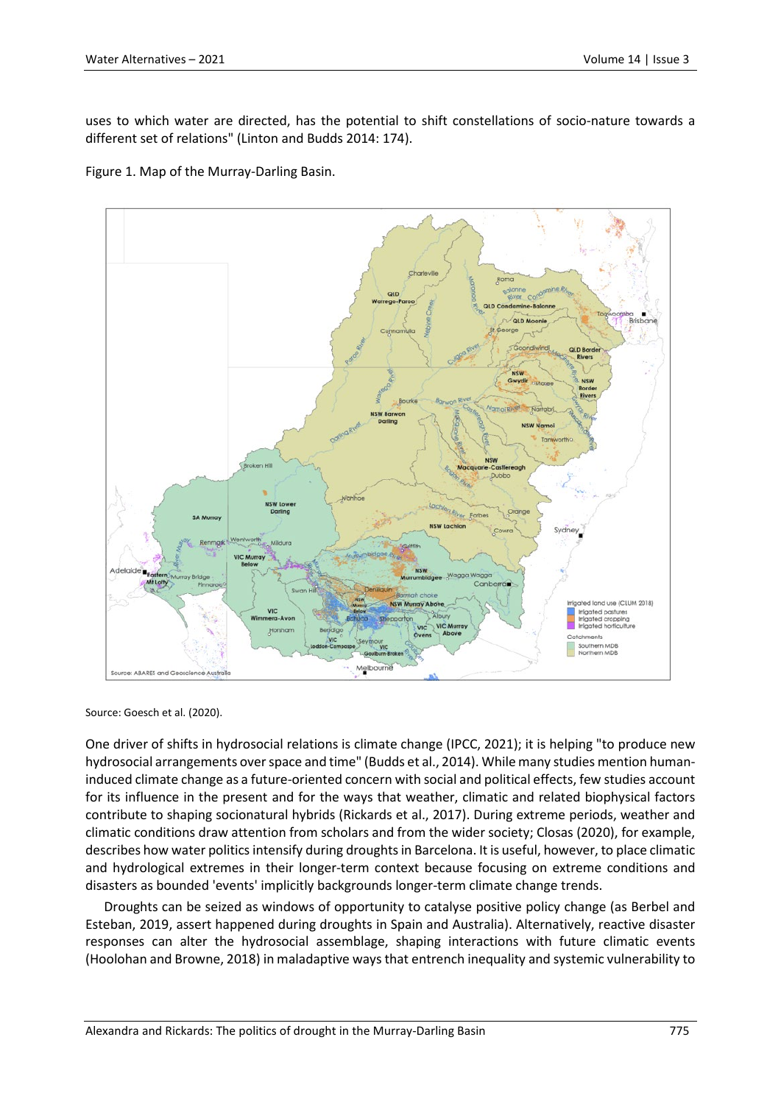uses to which water are directed, has the potential to shift constellations of socio-nature towards a different set of relations" (Linton and Budds 2014: 174).

Figure 1. Map of the Murray-Darling Basin.



Source: Goesch et al. (2020).

One driver of shifts in hydrosocial relations is climate change (IPCC, 2021); it is helping "to produce new hydrosocial arrangements over space and time" (Budds et al., 2014). While many studies mention humaninduced climate change as a future-oriented concern with social and political effects, few studies account for its influence in the present and for the ways that weather, climatic and related biophysical factors contribute to shaping socionatural hybrids (Rickards et al., 2017). During extreme periods, weather and climatic conditions draw attention from scholars and from the wider society; Closas (2020), for example, describes how water politics intensify during droughts in Barcelona. It is useful, however, to place climatic and hydrological extremes in their longer-term context because focusing on extreme conditions and disasters as bounded 'events' implicitly backgrounds longer-term climate change trends.

Droughts can be seized as windows of opportunity to catalyse positive policy change (as Berbel and Esteban, 2019, assert happened during droughts in Spain and Australia). Alternatively, reactive disaster responses can alter the hydrosocial assemblage, shaping interactions with future climatic events (Hoolohan and Browne, 2018) in maladaptive ways that entrench inequality and systemic vulnerability to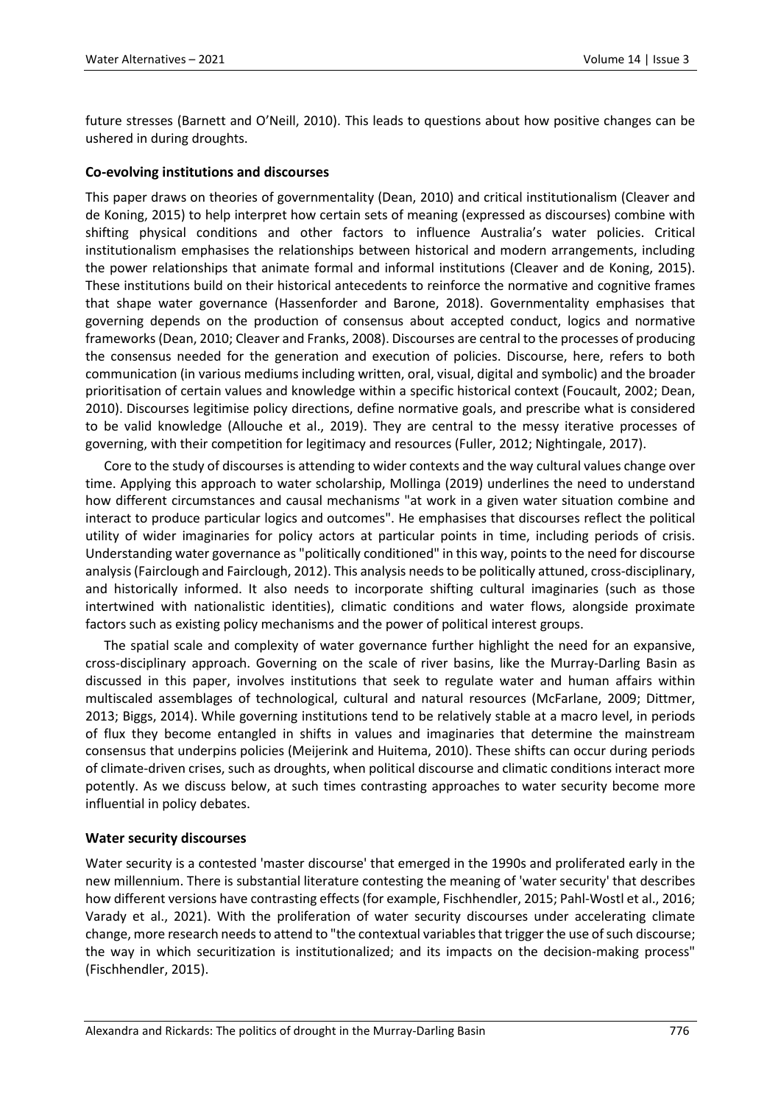future stresses (Barnett and O'Neill, 2010). This leads to questions about how positive changes can be ushered in during droughts.

## **Co-evolving institutions and discourses**

This paper draws on theories of governmentality (Dean, 2010) and critical institutionalism (Cleaver and de Koning, 2015) to help interpret how certain sets of meaning (expressed as discourses) combine with shifting physical conditions and other factors to influence Australia's water policies. Critical institutionalism emphasises the relationships between historical and modern arrangements, including the power relationships that animate formal and informal institutions (Cleaver and de Koning, 2015). These institutions build on their historical antecedents to reinforce the normative and cognitive frames that shape water governance (Hassenforder and Barone, 2018). Governmentality emphasises that governing depends on the production of consensus about accepted conduct, logics and normative frameworks (Dean, 2010; Cleaver and Franks, 2008). Discourses are central to the processes of producing the consensus needed for the generation and execution of policies. Discourse, here, refers to both communication (in various mediums including written, oral, visual, digital and symbolic) and the broader prioritisation of certain values and knowledge within a specific historical context (Foucault, 2002; Dean, 2010). Discourses legitimise policy directions, define normative goals, and prescribe what is considered to be valid knowledge (Allouche et al., 2019). They are central to the messy iterative processes of governing, with their competition for legitimacy and resources (Fuller, 2012; Nightingale, 2017).

Core to the study of discourses is attending to wider contexts and the way cultural values change over time. Applying this approach to water scholarship, Mollinga (2019) underlines the need to understand how different circumstances and causal mechanism*s* "at work in a given water situation combine and interact to produce particular logics and outcomes". He emphasises that discourses reflect the political utility of wider imaginaries for policy actors at particular points in time, including periods of crisis. Understanding water governance as "politically conditioned" in this way, points to the need for discourse analysis (Fairclough and Fairclough, 2012). This analysis needs to be politically attuned, cross-disciplinary, and historically informed. It also needs to incorporate shifting cultural imaginaries (such as those intertwined with nationalistic identities), climatic conditions and water flows, alongside proximate factors such as existing policy mechanisms and the power of political interest groups.

The spatial scale and complexity of water governance further highlight the need for an expansive, cross-disciplinary approach. Governing on the scale of river basins, like the Murray-Darling Basin as discussed in this paper, involves institutions that seek to regulate water and human affairs within multiscaled assemblages of technological, cultural and natural resources (McFarlane, 2009; Dittmer, 2013; Biggs, 2014). While governing institutions tend to be relatively stable at a macro level, in periods of flux they become entangled in shifts in values and imaginaries that determine the mainstream consensus that underpins policies (Meijerink and Huitema, 2010). These shifts can occur during periods of climate-driven crises, such as droughts, when political discourse and climatic conditions interact more potently. As we discuss below, at such times contrasting approaches to water security become more influential in policy debates.

## **Water security discourses**

Water security is a contested 'master discourse' that emerged in the 1990s and proliferated early in the new millennium. There is substantial literature contesting the meaning of 'water security' that describes how different versions have contrasting effects (for example, Fischhendler, 2015; Pahl-Wostl et al., 2016; Varady et al., 2021). With the proliferation of water security discourses under accelerating climate change, more research needs to attend to "the contextual variables that trigger the use of such discourse; the way in which securitization is institutionalized; and its impacts on the decision-making process" (Fischhendler, 2015).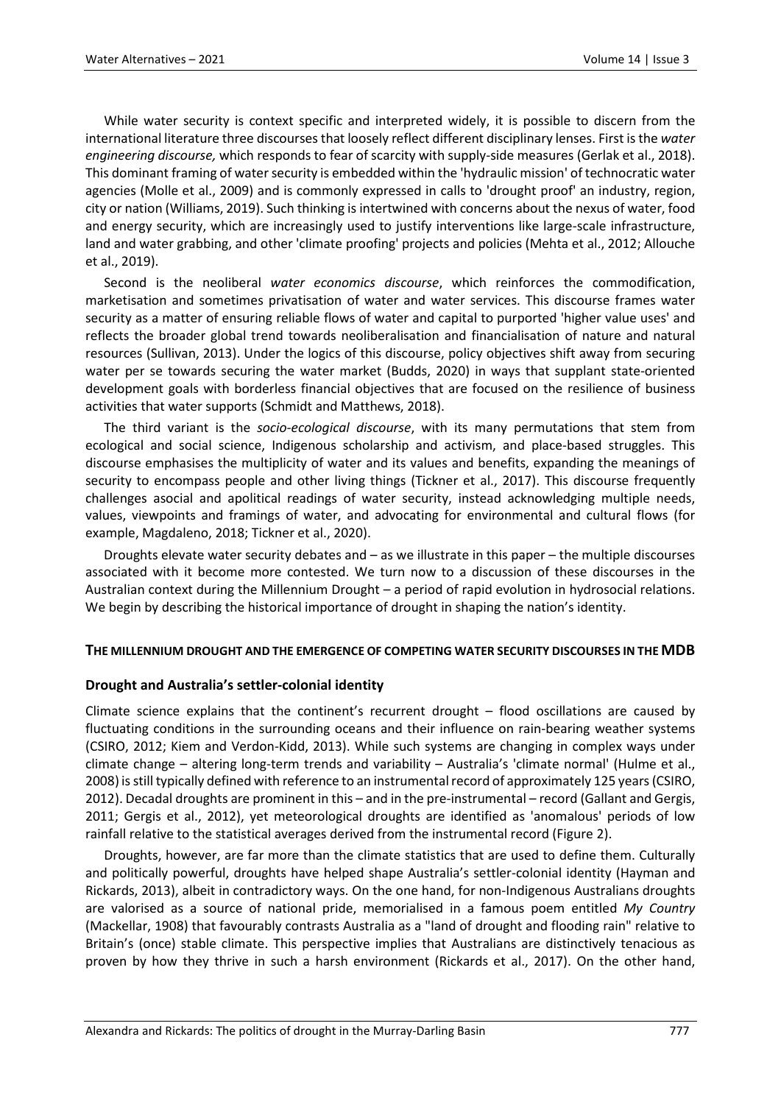While water security is context specific and interpreted widely, it is possible to discern from the international literature three discourses that loosely reflect different disciplinary lenses. First is the *water engineering discourse,* which responds to fear of scarcity with supply-side measures (Gerlak et al., 2018). This dominant framing of water security is embedded within the 'hydraulic mission' of technocratic water agencies (Molle et al., 2009) and is commonly expressed in calls to 'drought proof' an industry, region, city or nation (Williams, 2019). Such thinking is intertwined with concerns about the nexus of water, food and energy security, which are increasingly used to justify interventions like large-scale infrastructure, land and water grabbing, and other 'climate proofing' projects and policies (Mehta et al., 2012; Allouche et al., 2019).

Second is the neoliberal *water economics discourse*, which reinforces the commodification, marketisation and sometimes privatisation of water and water services. This discourse frames water security as a matter of ensuring reliable flows of water and capital to purported 'higher value uses' and reflects the broader global trend towards neoliberalisation and financialisation of nature and natural resources (Sullivan, 2013). Under the logics of this discourse, policy objectives shift away from securing water per se towards securing the water market (Budds, 2020) in ways that supplant state-oriented development goals with borderless financial objectives that are focused on the resilience of business activities that water supports (Schmidt and Matthews, 2018).

The third variant is the *socio-ecological discourse*, with its many permutations that stem from ecological and social science, Indigenous scholarship and activism, and place-based struggles. This discourse emphasises the multiplicity of water and its values and benefits, expanding the meanings of security to encompass people and other living things (Tickner et al., 2017). This discourse frequently challenges asocial and apolitical readings of water security, instead acknowledging multiple needs, values, viewpoints and framings of water, and advocating for environmental and cultural flows (for example, Magdaleno, 2018; Tickner et al., 2020).

Droughts elevate water security debates and – as we illustrate in this paper – the multiple discourses associated with it become more contested. We turn now to a discussion of these discourses in the Australian context during the Millennium Drought – a period of rapid evolution in hydrosocial relations. We begin by describing the historical importance of drought in shaping the nation's identity.

## **THE MILLENNIUM DROUGHT AND THE EMERGENCE OF COMPETING WATER SECURITY DISCOURSES IN THE MDB**

## **Drought and Australia's settler-colonial identity**

Climate science explains that the continent's recurrent drought – flood oscillations are caused by fluctuating conditions in the surrounding oceans and their influence on rain-bearing weather systems (CSIRO, 2012; Kiem and Verdon-Kidd, 2013). While such systems are changing in complex ways under climate change – altering long-term trends and variability – Australia's 'climate normal' (Hulme et al., 2008) is still typically defined with reference to an instrumental record of approximately 125 years (CSIRO, 2012). Decadal droughts are prominent in this – and in the pre-instrumental – record (Gallant and Gergis, 2011; Gergis et al., 2012), yet meteorological droughts are identified as 'anomalous' periods of low rainfall relative to the statistical averages derived from the instrumental record (Figure 2).

Droughts, however, are far more than the climate statistics that are used to define them. Culturally and politically powerful, droughts have helped shape Australia's settler-colonial identity (Hayman and Rickards, 2013), albeit in contradictory ways. On the one hand, for non-Indigenous Australians droughts are valorised as a source of national pride, memorialised in a famous poem entitled *My Country* (Mackellar, 1908) that favourably contrasts Australia as a "land of drought and flooding rain" relative to Britain's (once) stable climate. This perspective implies that Australians are distinctively tenacious as proven by how they thrive in such a harsh environment (Rickards et al., 2017). On the other hand,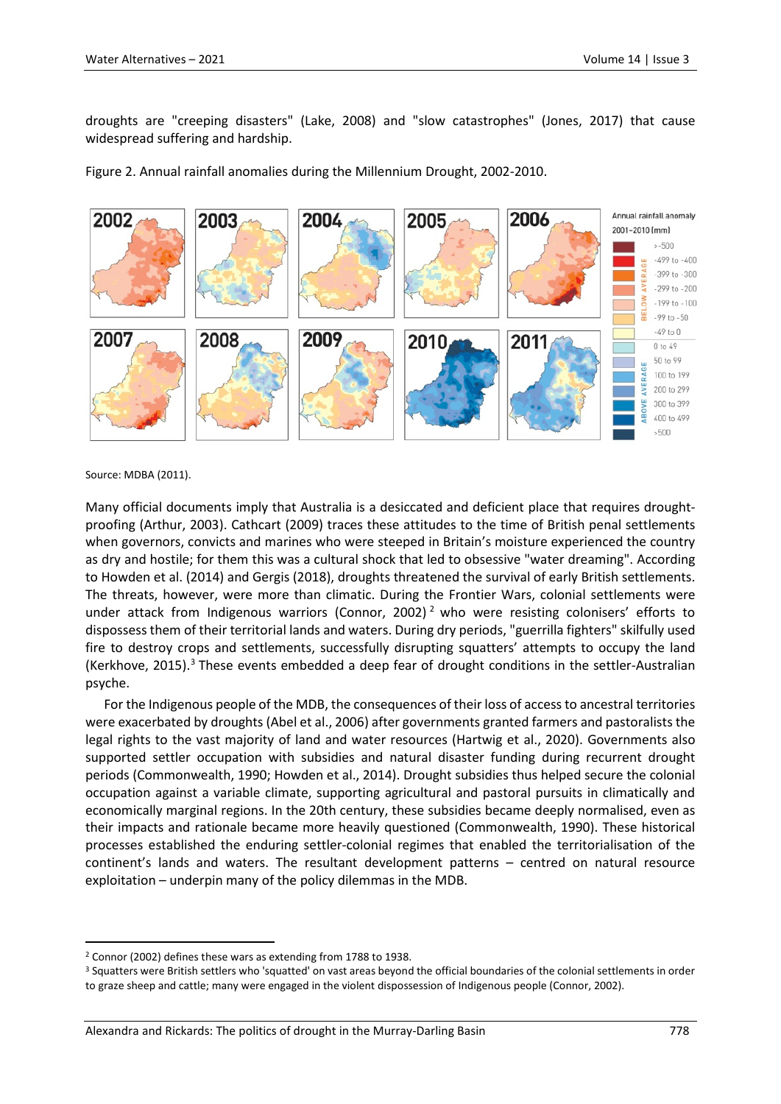droughts are "creeping disasters" (Lake, 2008) and "slow catastrophes" (Jones, 2017) that cause widespread suffering and hardship.

Figure 2. Annual rainfall anomalies during the Millennium Drought, 2002-2010.



Source: MDBA (2011).

Many official documents imply that Australia is a desiccated and deficient place that requires droughtproofing (Arthur, 2003). Cathcart (2009) traces these attitudes to the time of British penal settlements when governors, convicts and marines who were steeped in Britain's moisture experienced the country as dry and hostile; for them this was a cultural shock that led to obsessive "water dreaming". According to Howden et al. (2014) and Gergis (2018), droughts threatened the survival of early British settlements. The threats, however, were more than climatic. During the Frontier Wars, colonial settlements were under attack from Indigenous warriors (Connor, [2](#page-5-0)002)<sup>2</sup> who were resisting colonisers' efforts to dispossess them of their territorial lands and waters. During dry periods, "guerrilla fighters" skilfully used fire to destroy crops and settlements, successfully disrupting squatters' attempts to occupy the land (Kerkhove, 2015).<sup>3</sup> These events embedded a deep fear of drought conditions in the settler-Australian psyche.

For the Indigenous people of the MDB, the consequences of their loss of access to ancestral territories were exacerbated by droughts (Abel et al., 2006) after governments granted farmers and pastoralists the legal rights to the vast majority of land and water resources (Hartwig et al., 2020). Governments also supported settler occupation with subsidies and natural disaster funding during recurrent drought periods (Commonwealth, 1990; Howden et al., 2014). Drought subsidies thus helped secure the colonial occupation against a variable climate, supporting agricultural and pastoral pursuits in climatically and economically marginal regions. In the 20th century, these subsidies became deeply normalised, even as their impacts and rationale became more heavily questioned (Commonwealth, 1990). These historical processes established the enduring settler-colonial regimes that enabled the territorialisation of the continent's lands and waters. The resultant development patterns – centred on natural resource exploitation – underpin many of the policy dilemmas in the MDB.

<span id="page-5-0"></span> <sup>2</sup> Connor (2002) defines these wars as extending from 1788 to 1938.

<span id="page-5-1"></span><sup>&</sup>lt;sup>3</sup> Squatters were British settlers who 'squatted' on vast areas beyond the official boundaries of the colonial settlements in order to graze sheep and cattle; many were engaged in the violent dispossession of Indigenous people (Connor, 2002).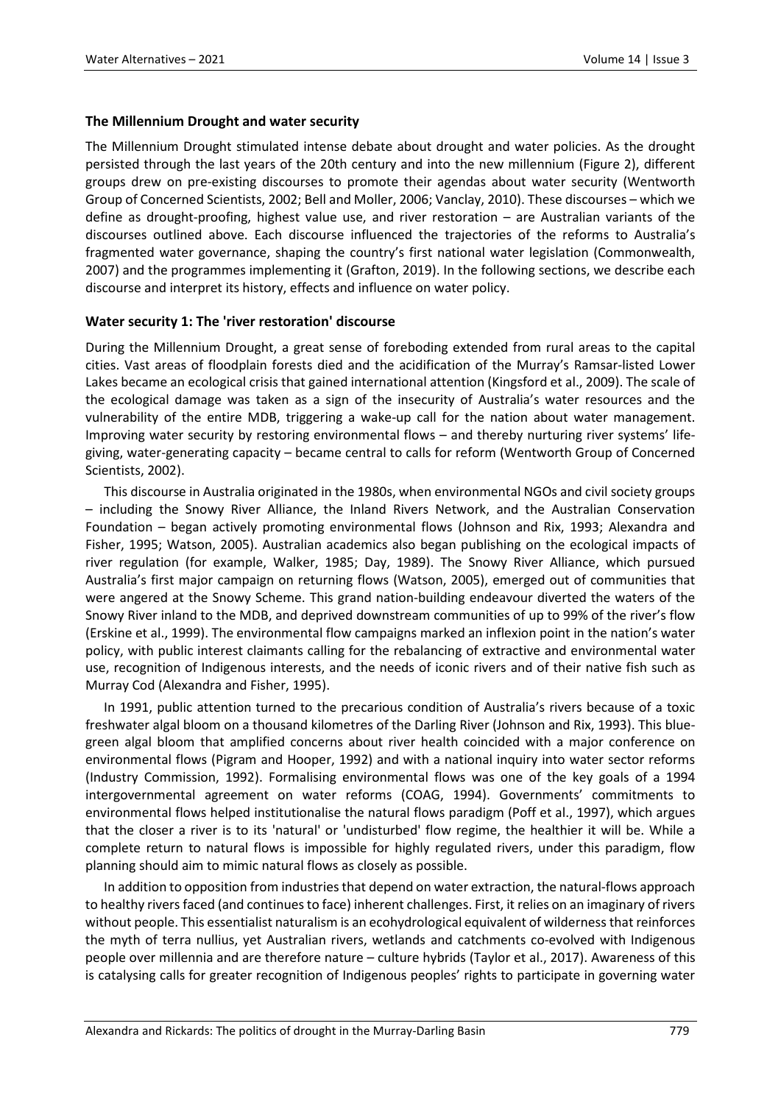## **The Millennium Drought and water security**

The Millennium Drought stimulated intense debate about drought and water policies. As the drought persisted through the last years of the 20th century and into the new millennium (Figure 2), different groups drew on pre-existing discourses to promote their agendas about water security (Wentworth Group of Concerned Scientists, 2002; Bell and Moller, 2006; Vanclay, 2010). These discourses – which we define as drought-proofing, highest value use, and river restoration – are Australian variants of the discourses outlined above. Each discourse influenced the trajectories of the reforms to Australia's fragmented water governance, shaping the country's first national water legislation (Commonwealth, 2007) and the programmes implementing it (Grafton, 2019). In the following sections, we describe each discourse and interpret its history, effects and influence on water policy.

## **Water security 1: The 'river restoration' discourse**

During the Millennium Drought, a great sense of foreboding extended from rural areas to the capital cities. Vast areas of floodplain forests died and the acidification of the Murray's Ramsar-listed Lower Lakes became an ecological crisis that gained international attention (Kingsford et al., 2009). The scale of the ecological damage was taken as a sign of the insecurity of Australia's water resources and the vulnerability of the entire MDB, triggering a wake-up call for the nation about water management. Improving water security by restoring environmental flows – and thereby nurturing river systems' lifegiving, water-generating capacity – became central to calls for reform (Wentworth Group of Concerned Scientists, 2002).

This discourse in Australia originated in the 1980s, when environmental NGOs and civil society groups – including the Snowy River Alliance, the Inland Rivers Network, and the Australian Conservation Foundation – began actively promoting environmental flows (Johnson and Rix, 1993; Alexandra and Fisher, 1995; Watson, 2005). Australian academics also began publishing on the ecological impacts of river regulation (for example, Walker, 1985; Day, 1989). The Snowy River Alliance, which pursued Australia's first major campaign on returning flows (Watson, 2005), emerged out of communities that were angered at the Snowy Scheme. This grand nation-building endeavour diverted the waters of the Snowy River inland to the MDB, and deprived downstream communities of up to 99% of the river's flow (Erskine et al., 1999). The environmental flow campaigns marked an inflexion point in the nation's water policy, with public interest claimants calling for the rebalancing of extractive and environmental water use, recognition of Indigenous interests, and the needs of iconic rivers and of their native fish such as Murray Cod (Alexandra and Fisher, 1995).

In 1991, public attention turned to the precarious condition of Australia's rivers because of a toxic freshwater algal bloom on a thousand kilometres of the Darling River (Johnson and Rix, 1993). This bluegreen algal bloom that amplified concerns about river health coincided with a major conference on environmental flows (Pigram and Hooper, 1992) and with a national inquiry into water sector reforms (Industry Commission, 1992). Formalising environmental flows was one of the key goals of a 1994 intergovernmental agreement on water reforms (COAG, 1994). Governments' commitments to environmental flows helped institutionalise the natural flows paradigm (Poff et al., 1997), which argues that the closer a river is to its 'natural' or 'undisturbed' flow regime, the healthier it will be. While a complete return to natural flows is impossible for highly regulated rivers, under this paradigm, flow planning should aim to mimic natural flows as closely as possible.

In addition to opposition from industries that depend on water extraction, the natural-flows approach to healthy rivers faced (and continues to face) inherent challenges. First, it relies on an imaginary of rivers without people. This essentialist naturalism is an ecohydrological equivalent of wilderness that reinforces the myth of terra nullius, yet Australian rivers, wetlands and catchments co-evolved with Indigenous people over millennia and are therefore nature – culture hybrids (Taylor et al., 2017). Awareness of this is catalysing calls for greater recognition of Indigenous peoples' rights to participate in governing water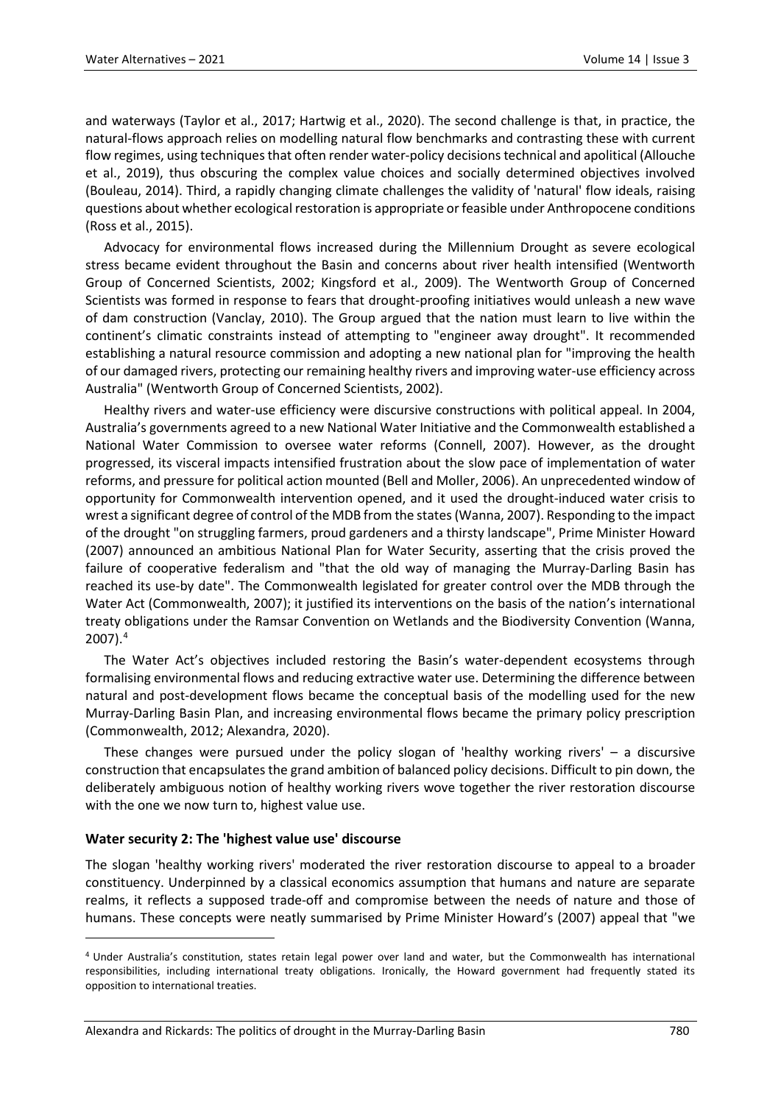and waterways (Taylor et al., 2017; Hartwig et al., 2020). The second challenge is that, in practice, the natural-flows approach relies on modelling natural flow benchmarks and contrasting these with current flow regimes, using techniques that often render water-policy decisions technical and apolitical (Allouche et al., 2019), thus obscuring the complex value choices and socially determined objectives involved (Bouleau, 2014). Third, a rapidly changing climate challenges the validity of 'natural' flow ideals, raising questions about whether ecological restoration is appropriate or feasible under Anthropocene conditions (Ross et al., 2015).

Advocacy for environmental flows increased during the Millennium Drought as severe ecological stress became evident throughout the Basin and concerns about river health intensified (Wentworth Group of Concerned Scientists, 2002; Kingsford et al., 2009). The Wentworth Group of Concerned Scientists was formed in response to fears that drought-proofing initiatives would unleash a new wave of dam construction (Vanclay, 2010). The Group argued that the nation must learn to live within the continent's climatic constraints instead of attempting to "engineer away drought". It recommended establishing a natural resource commission and adopting a new national plan for "improving the health of our damaged rivers, protecting our remaining healthy rivers and improving water-use efficiency across Australia" (Wentworth Group of Concerned Scientists, 2002).

Healthy rivers and water-use efficiency were discursive constructions with political appeal. In 2004, Australia's governments agreed to a new National Water Initiative and the Commonwealth established a National Water Commission to oversee water reforms (Connell, 2007). However, as the drought progressed, its visceral impacts intensified frustration about the slow pace of implementation of water reforms, and pressure for political action mounted (Bell and Moller, 2006). An unprecedented window of opportunity for Commonwealth intervention opened, and it used the drought-induced water crisis to wrest a significant degree of control of the MDB from the states (Wanna, 2007). Responding to the impact of the drought "on struggling farmers, proud gardeners and a thirsty landscape", Prime Minister Howard (2007) announced an ambitious National Plan for Water Security, asserting that the crisis proved the failure of cooperative federalism and "that the old way of managing the Murray-Darling Basin has reached its use-by date". The Commonwealth legislated for greater control over the MDB through the Water Act (Commonwealth, 2007); it justified its interventions on the basis of the nation's international treaty obligations under the Ramsar Convention on Wetlands and the Biodiversity Convention (Wanna, 2007).[4](#page-7-0)

The Water Act's objectives included restoring the Basin's water-dependent ecosystems through formalising environmental flows and reducing extractive water use. Determining the difference between natural and post-development flows became the conceptual basis of the modelling used for the new Murray-Darling Basin Plan, and increasing environmental flows became the primary policy prescription (Commonwealth, 2012; Alexandra, 2020).

These changes were pursued under the policy slogan of 'healthy working rivers' – a discursive construction that encapsulates the grand ambition of balanced policy decisions. Difficult to pin down, the deliberately ambiguous notion of healthy working rivers wove together the river restoration discourse with the one we now turn to, highest value use.

## **Water security 2: The 'highest value use' discourse**

 $\overline{a}$ 

The slogan 'healthy working rivers' moderated the river restoration discourse to appeal to a broader constituency. Underpinned by a classical economics assumption that humans and nature are separate realms, it reflects a supposed trade-off and compromise between the needs of nature and those of humans. These concepts were neatly summarised by Prime Minister Howard's (2007) appeal that "we

<span id="page-7-0"></span><sup>4</sup> Under Australia's constitution, states retain legal power over land and water, but the Commonwealth has international responsibilities, including international treaty obligations. Ironically, the Howard government had frequently stated its opposition to international treaties.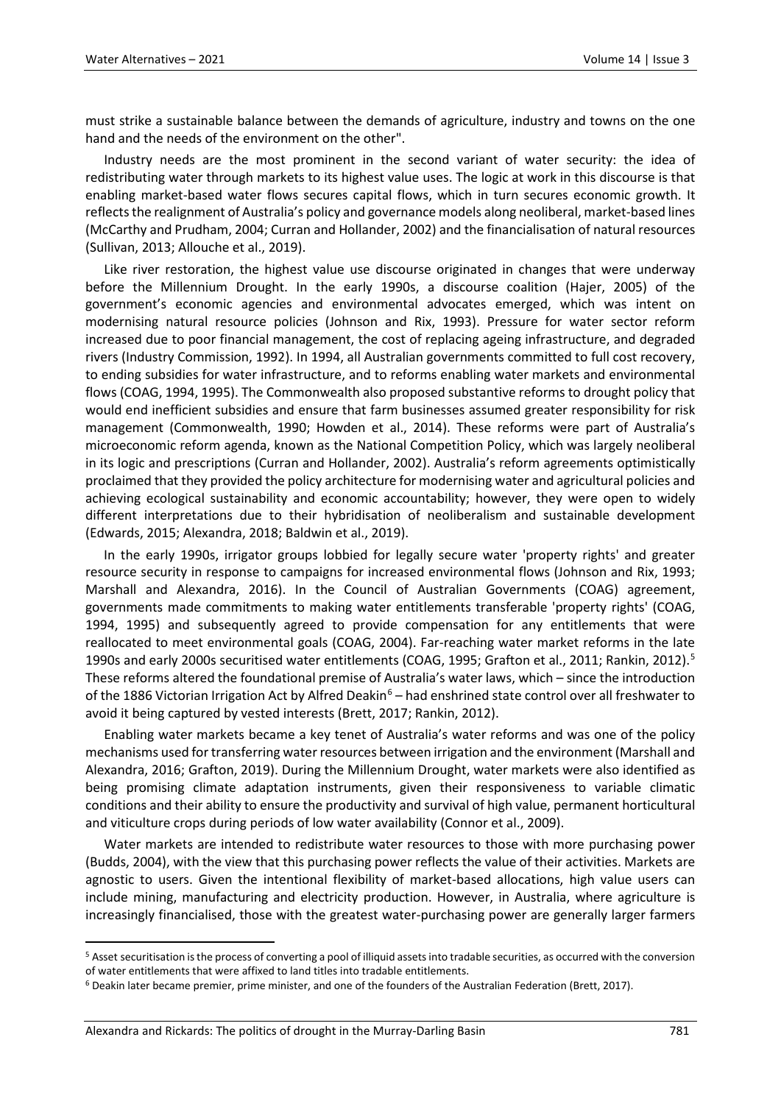must strike a sustainable balance between the demands of agriculture, industry and towns on the one hand and the needs of the environment on the other".

Industry needs are the most prominent in the second variant of water security: the idea of redistributing water through markets to its highest value uses. The logic at work in this discourse is that enabling market-based water flows secures capital flows, which in turn secures economic growth. It reflects the realignment of Australia's policy and governance models along neoliberal, market-based lines (McCarthy and Prudham, 2004; Curran and Hollander, 2002) and the financialisation of natural resources (Sullivan, 2013; Allouche et al., 2019).

Like river restoration, the highest value use discourse originated in changes that were underway before the Millennium Drought. In the early 1990s, a discourse coalition (Hajer, 2005) of the government's economic agencies and environmental advocates emerged, which was intent on modernising natural resource policies (Johnson and Rix, 1993). Pressure for water sector reform increased due to poor financial management, the cost of replacing ageing infrastructure, and degraded rivers (Industry Commission, 1992). In 1994, all Australian governments committed to full cost recovery, to ending subsidies for water infrastructure, and to reforms enabling water markets and environmental flows (COAG, 1994, 1995). The Commonwealth also proposed substantive reforms to drought policy that would end inefficient subsidies and ensure that farm businesses assumed greater responsibility for risk management (Commonwealth, 1990; Howden et al., 2014). These reforms were part of Australia's microeconomic reform agenda, known as the National Competition Policy, which was largely neoliberal in its logic and prescriptions (Curran and Hollander, 2002). Australia's reform agreements optimistically proclaimed that they provided the policy architecture for modernising water and agricultural policies and achieving ecological sustainability and economic accountability; however, they were open to widely different interpretations due to their hybridisation of neoliberalism and sustainable development (Edwards, 2015; Alexandra, 2018; Baldwin et al., 2019).

In the early 1990s, irrigator groups lobbied for legally secure water 'property rights' and greater resource security in response to campaigns for increased environmental flows (Johnson and Rix, 1993; Marshall and Alexandra, 2016). In the Council of Australian Governments (COAG) agreement, governments made commitments to making water entitlements transferable 'property rights' (COAG, 1994, 1995) and subsequently agreed to provide compensation for any entitlements that were reallocated to meet environmental goals (COAG, 2004). Far-reaching water market reforms in the late 1990s and early 2000s securitised water entitlements (COAG, 1995; Grafton et al., 2011; Rankin, 2012). [5](#page-8-0) These reforms altered the foundational premise of Australia's water laws, which – since the introduction of the 188[6](#page-8-1) Victorian Irrigation Act by Alfred Deakin<sup>6</sup> – had enshrined state control over all freshwater to avoid it being captured by vested interests (Brett, 2017; Rankin, 2012).

Enabling water markets became a key tenet of Australia's water reforms and was one of the policy mechanisms used for transferring water resources between irrigation and the environment (Marshall and Alexandra, 2016; Grafton, 2019). During the Millennium Drought, water markets were also identified as being promising climate adaptation instruments, given their responsiveness to variable climatic conditions and their ability to ensure the productivity and survival of high value, permanent horticultural and viticulture crops during periods of low water availability (Connor et al., 2009).

Water markets are intended to redistribute water resources to those with more purchasing power (Budds, 2004), with the view that this purchasing power reflects the value of their activities. Markets are agnostic to users. Given the intentional flexibility of market-based allocations, high value users can include mining, manufacturing and electricity production. However, in Australia, where agriculture is increasingly financialised, those with the greatest water-purchasing power are generally larger farmers

<span id="page-8-0"></span> <sup>5</sup> Asset securitisation is the process of converting a pool of illiquid assets into tradable securities, as occurred with the conversion

<span id="page-8-1"></span>of water entitlements that were affixed to land titles into tradable entitlements.<br><sup>6</sup> Deakin later became premier, prime minister, and one of the founders of the Australian Federation (Brett, 2017).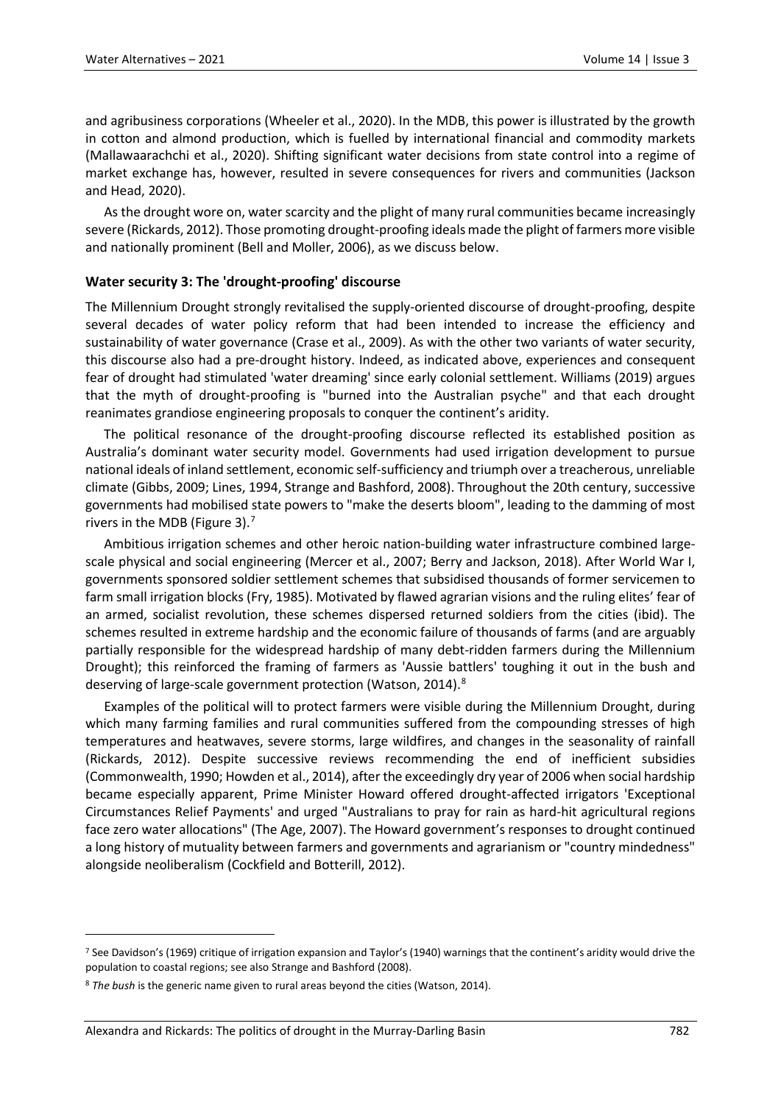and agribusiness corporations (Wheeler et al., 2020). In the MDB, this power is illustrated by the growth in cotton and almond production, which is fuelled by international financial and commodity markets (Mallawaarachchi et al., 2020). Shifting significant water decisions from state control into a regime of market exchange has, however, resulted in severe consequences for rivers and communities (Jackson and Head, 2020).

As the drought wore on, water scarcity and the plight of many rural communities became increasingly severe (Rickards, 2012). Those promoting drought-proofing ideals made the plight of farmers more visible and nationally prominent (Bell and Moller, 2006), as we discuss below.

## **Water security 3: The 'drought-proofing' discourse**

The Millennium Drought strongly revitalised the supply-oriented discourse of drought-proofing, despite several decades of water policy reform that had been intended to increase the efficiency and sustainability of water governance (Crase et al., 2009). As with the other two variants of water security, this discourse also had a pre-drought history. Indeed, as indicated above, experiences and consequent fear of drought had stimulated 'water dreaming' since early colonial settlement. Williams (2019) argues that the myth of drought-proofing is "burned into the Australian psyche" and that each drought reanimates grandiose engineering proposals to conquer the continent's aridity.

The political resonance of the drought-proofing discourse reflected its established position as Australia's dominant water security model. Governments had used irrigation development to pursue national ideals of inland settlement, economic self-sufficiency and triumph over a treacherous, unreliable climate (Gibbs, 2009; Lines, 1994, Strange and Bashford, 2008). Throughout the 20th century, successive governments had mobilised state powers to "make the deserts bloom", leading to the damming of most rivers in the MDB (Figure 3).[7](#page-9-0)

Ambitious irrigation schemes and other heroic nation-building water infrastructure combined largescale physical and social engineering (Mercer et al., 2007; Berry and Jackson, 2018). After World War I, governments sponsored soldier settlement schemes that subsidised thousands of former servicemen to farm small irrigation blocks (Fry, 1985). Motivated by flawed agrarian visions and the ruling elites' fear of an armed, socialist revolution, these schemes dispersed returned soldiers from the cities (ibid). The schemes resulted in extreme hardship and the economic failure of thousands of farms (and are arguably partially responsible for the widespread hardship of many debt-ridden farmers during the Millennium Drought); this reinforced the framing of farmers as 'Aussie battlers' toughing it out in the bush and deserving of large-scale government protection (Watson, 2014).<sup>[8](#page-9-1)</sup>

Examples of the political will to protect farmers were visible during the Millennium Drought, during which many farming families and rural communities suffered from the compounding stresses of high temperatures and heatwaves, severe storms, large wildfires, and changes in the seasonality of rainfall (Rickards, 2012). Despite successive reviews recommending the end of inefficient subsidies (Commonwealth, 1990; Howden et al., 2014), after the exceedingly dry year of 2006 when social hardship became especially apparent, Prime Minister Howard offered drought-affected irrigators 'Exceptional Circumstances Relief Payments' and urged "Australians to pray for rain as hard-hit agricultural regions face zero water allocations" (The Age, 2007). The Howard government's responses to drought continued a long history of mutuality between farmers and governments and agrarianism or "country mindedness" alongside neoliberalism (Cockfield and Botterill, 2012).

 $\overline{a}$ 

<span id="page-9-0"></span><sup>&</sup>lt;sup>7</sup> See Davidson's (1969) critique of irrigation expansion and Taylor's (1940) warnings that the continent's aridity would drive the population to coastal regions; see also Strange and Bashford (2008).

<span id="page-9-1"></span><sup>8</sup> *The bush* is the generic name given to rural areas beyond the cities (Watson, 2014).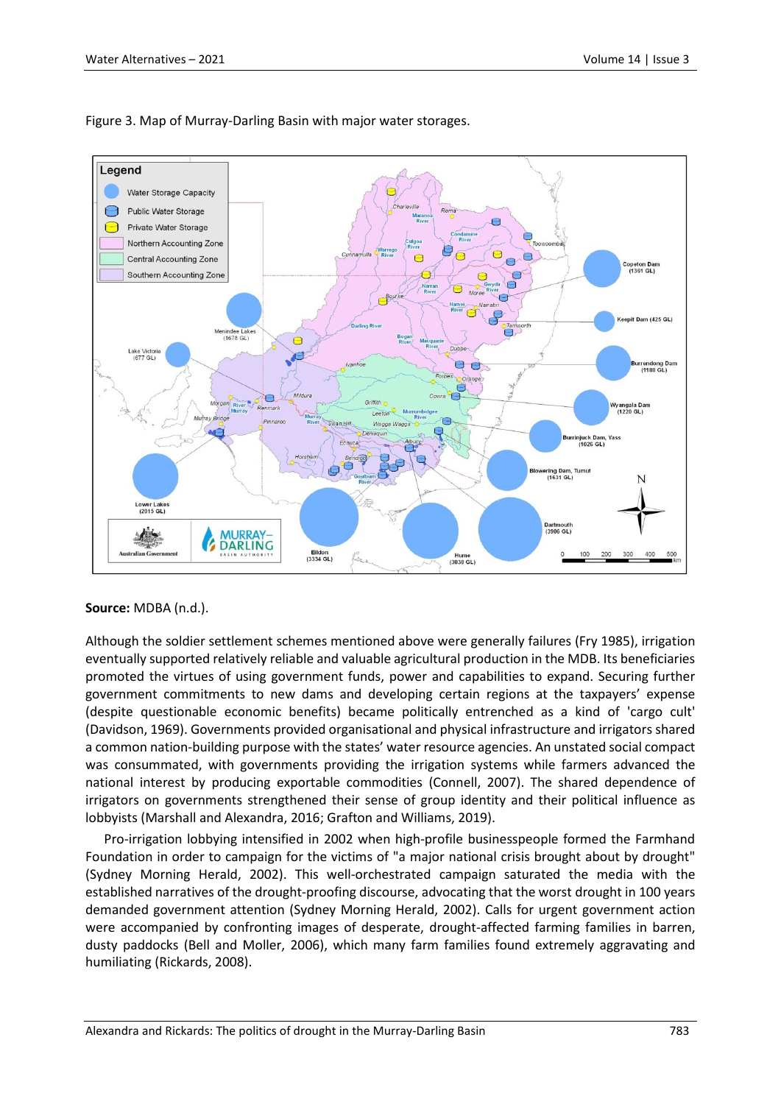

## Figure 3. Map of Murray-Darling Basin with major water storages.

#### **Source:** MDBA (n.d.).

Although the soldier settlement schemes mentioned above were generally failures (Fry 1985), irrigation eventually supported relatively reliable and valuable agricultural production in the MDB. Its beneficiaries promoted the virtues of using government funds, power and capabilities to expand. Securing further government commitments to new dams and developing certain regions at the taxpayers' expense (despite questionable economic benefits) became politically entrenched as a kind of 'cargo cult' (Davidson, 1969). Governments provided organisational and physical infrastructure and irrigators shared a common nation-building purpose with the states' water resource agencies. An unstated social compact was consummated, with governments providing the irrigation systems while farmers advanced the national interest by producing exportable commodities (Connell, 2007). The shared dependence of irrigators on governments strengthened their sense of group identity and their political influence as lobbyists (Marshall and Alexandra, 2016; Grafton and Williams, 2019).

Pro-irrigation lobbying intensified in 2002 when high-profile businesspeople formed the Farmhand Foundation in order to campaign for the victims of "a major national crisis brought about by drought" (Sydney Morning Herald, 2002). This well-orchestrated campaign saturated the media with the established narratives of the drought-proofing discourse, advocating that the worst drought in 100 years demanded government attention (Sydney Morning Herald, 2002). Calls for urgent government action were accompanied by confronting images of desperate, drought-affected farming families in barren, dusty paddocks (Bell and Moller, 2006), which many farm families found extremely aggravating and humiliating (Rickards, 2008).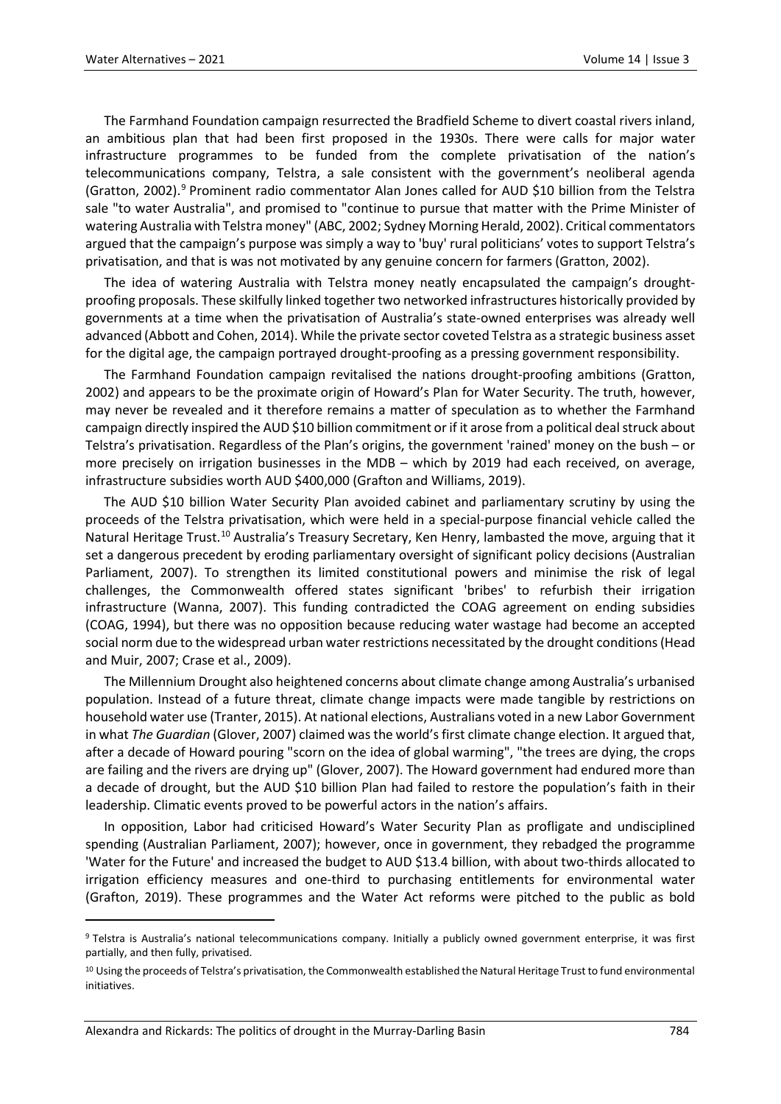The Farmhand Foundation campaign resurrected the Bradfield Scheme to divert coastal rivers inland, an ambitious plan that had been first proposed in the 1930s. There were calls for major water infrastructure programmes to be funded from the complete privatisation of the nation's telecommunications company, Telstra, a sale consistent with the government's neoliberal agenda (Gratton, 2002).<sup>[9](#page-11-0)</sup> Prominent radio commentator Alan Jones called for AUD \$10 billion from the Telstra sale "to water Australia", and promised to "continue to pursue that matter with the Prime Minister of watering Australia with Telstra money" (ABC, 2002; Sydney Morning Herald, 2002). Critical commentators argued that the campaign's purpose was simply a way to 'buy' rural politicians' votes to support Telstra's privatisation, and that is was not motivated by any genuine concern for farmers (Gratton, 2002).

The idea of watering Australia with Telstra money neatly encapsulated the campaign's droughtproofing proposals. These skilfully linked together two networked infrastructures historically provided by governments at a time when the privatisation of Australia's state-owned enterprises was already well advanced (Abbott and Cohen, 2014). While the private sector coveted Telstra as a strategic business asset for the digital age, the campaign portrayed drought-proofing as a pressing government responsibility.

The Farmhand Foundation campaign revitalised the nations drought-proofing ambitions (Gratton, 2002) and appears to be the proximate origin of Howard's Plan for Water Security. The truth, however, may never be revealed and it therefore remains a matter of speculation as to whether the Farmhand campaign directly inspired the AUD \$10 billion commitment or if it arose from a political deal struck about Telstra's privatisation. Regardless of the Plan's origins, the government 'rained' money on the bush – or more precisely on irrigation businesses in the MDB – which by 2019 had each received, on average, infrastructure subsidies worth AUD \$400,000 (Grafton and Williams, 2019).

The AUD \$10 billion Water Security Plan avoided cabinet and parliamentary scrutiny by using the proceeds of the Telstra privatisation, which were held in a special-purpose financial vehicle called the Natural Heritage Trust.<sup>[10](#page-11-1)</sup> Australia's Treasury Secretary, Ken Henry, lambasted the move, arguing that it set a dangerous precedent by eroding parliamentary oversight of significant policy decisions (Australian Parliament, 2007). To strengthen its limited constitutional powers and minimise the risk of legal challenges, the Commonwealth offered states significant 'bribes' to refurbish their irrigation infrastructure (Wanna, 2007). This funding contradicted the COAG agreement on ending subsidies (COAG, 1994), but there was no opposition because reducing water wastage had become an accepted social norm due to the widespread urban water restrictions necessitated by the drought conditions (Head and Muir, 2007; Crase et al., 2009).

The Millennium Drought also heightened concerns about climate change among Australia's urbanised population. Instead of a future threat, climate change impacts were made tangible by restrictions on household water use (Tranter, 2015). At national elections, Australians voted in a new Labor Government in what *The Guardian* (Glover, 2007) claimed was the world's first climate change election. It argued that, after a decade of Howard pouring "scorn on the idea of global warming", "the trees are dying, the crops are failing and the rivers are drying up" (Glover, 2007). The Howard government had endured more than a decade of drought, but the AUD \$10 billion Plan had failed to restore the population's faith in their leadership. Climatic events proved to be powerful actors in the nation's affairs.

In opposition, Labor had criticised Howard's Water Security Plan as profligate and undisciplined spending (Australian Parliament, 2007); however, once in government, they rebadged the programme 'Water for the Future' and increased the budget to AUD \$13.4 billion, with about two-thirds allocated to irrigation efficiency measures and one-third to purchasing entitlements for environmental water (Grafton, 2019). These programmes and the Water Act reforms were pitched to the public as bold

 $\overline{a}$ 

<span id="page-11-0"></span><sup>9</sup> Telstra is Australia's national telecommunications company. Initially a publicly owned government enterprise, it was first partially, and then fully, privatised.

<span id="page-11-1"></span><sup>&</sup>lt;sup>10</sup> Using the proceeds of Telstra's privatisation, the Commonwealth established the Natural Heritage Trust to fund environmental initiatives.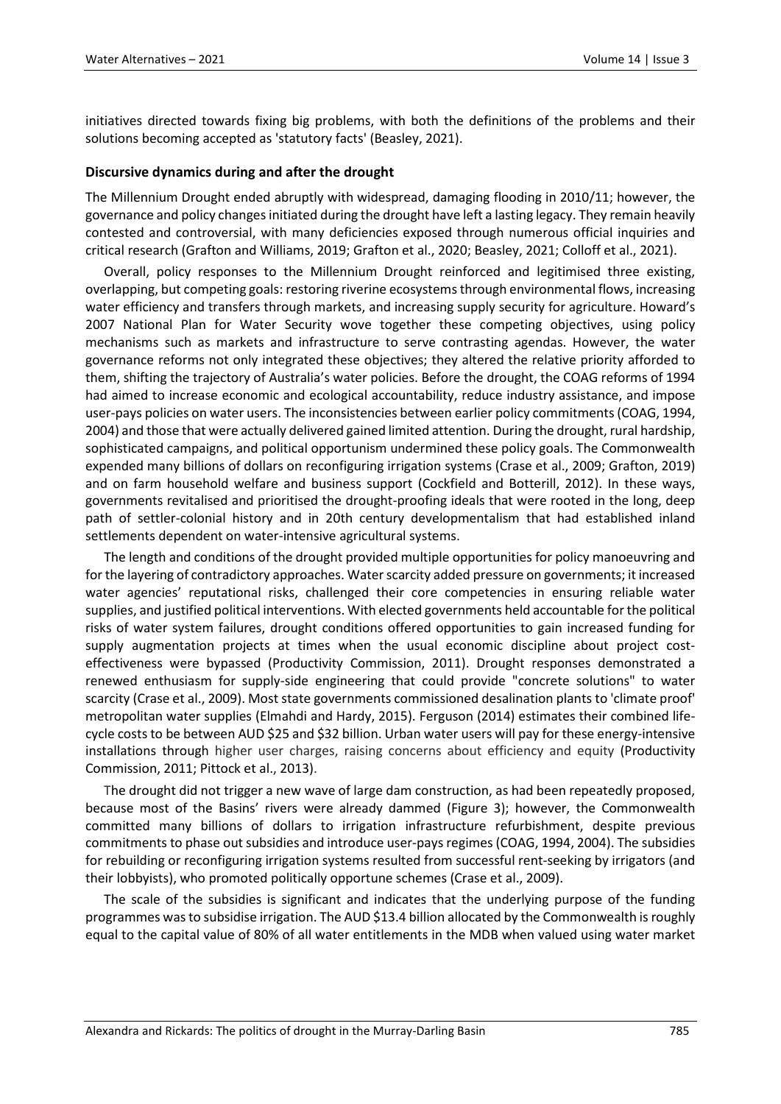initiatives directed towards fixing big problems, with both the definitions of the problems and their solutions becoming accepted as 'statutory facts' (Beasley, 2021).

## **Discursive dynamics during and after the drought**

The Millennium Drought ended abruptly with widespread, damaging flooding in 2010/11; however, the governance and policy changes initiated during the drought have left a lasting legacy. They remain heavily contested and controversial, with many deficiencies exposed through numerous official inquiries and critical research (Grafton and Williams, 2019; Grafton et al., 2020; Beasley, 2021; Colloff et al., 2021).

Overall, policy responses to the Millennium Drought reinforced and legitimised three existing, overlapping, but competing goals: restoring riverine ecosystems through environmental flows, increasing water efficiency and transfers through markets, and increasing supply security for agriculture. Howard's 2007 National Plan for Water Security wove together these competing objectives, using policy mechanisms such as markets and infrastructure to serve contrasting agendas. However, the water governance reforms not only integrated these objectives; they altered the relative priority afforded to them, shifting the trajectory of Australia's water policies. Before the drought, the COAG reforms of 1994 had aimed to increase economic and ecological accountability, reduce industry assistance, and impose user-pays policies on water users. The inconsistencies between earlier policy commitments (COAG, 1994, 2004) and those that were actually delivered gained limited attention. During the drought, rural hardship, sophisticated campaigns, and political opportunism undermined these policy goals. The Commonwealth expended many billions of dollars on reconfiguring irrigation systems (Crase et al., 2009; Grafton, 2019) and on farm household welfare and business support (Cockfield and Botterill, 2012). In these ways, governments revitalised and prioritised the drought-proofing ideals that were rooted in the long, deep path of settler-colonial history and in 20th century developmentalism that had established inland settlements dependent on water-intensive agricultural systems.

The length and conditions of the drought provided multiple opportunities for policy manoeuvring and for the layering of contradictory approaches. Water scarcity added pressure on governments; it increased water agencies' reputational risks, challenged their core competencies in ensuring reliable water supplies, and justified political interventions. With elected governments held accountable for the political risks of water system failures, drought conditions offered opportunities to gain increased funding for supply augmentation projects at times when the usual economic discipline about project costeffectiveness were bypassed (Productivity Commission, 2011). Drought responses demonstrated a renewed enthusiasm for supply-side engineering that could provide "concrete solutions" to water scarcity (Crase et al., 2009). Most state governments commissioned desalination plants to 'climate proof' metropolitan water supplies (Elmahdi and Hardy, 2015). Ferguson (2014) estimates their combined lifecycle costs to be between AUD \$25 and \$32 billion. Urban water users will pay for these energy-intensive installations through higher user charges, raising concerns about efficiency and equity (Productivity Commission, 2011; Pittock et al., 2013).

The drought did not trigger a new wave of large dam construction, as had been repeatedly proposed, because most of the Basins' rivers were already dammed (Figure 3); however, the Commonwealth committed many billions of dollars to irrigation infrastructure refurbishment, despite previous commitments to phase out subsidies and introduce user-pays regimes (COAG, 1994, 2004). The subsidies for rebuilding or reconfiguring irrigation systems resulted from successful rent-seeking by irrigators (and their lobbyists), who promoted politically opportune schemes (Crase et al., 2009).

The scale of the subsidies is significant and indicates that the underlying purpose of the funding programmes was to subsidise irrigation. The AUD \$13.4 billion allocated by the Commonwealth is roughly equal to the capital value of 80% of all water entitlements in the MDB when valued using water market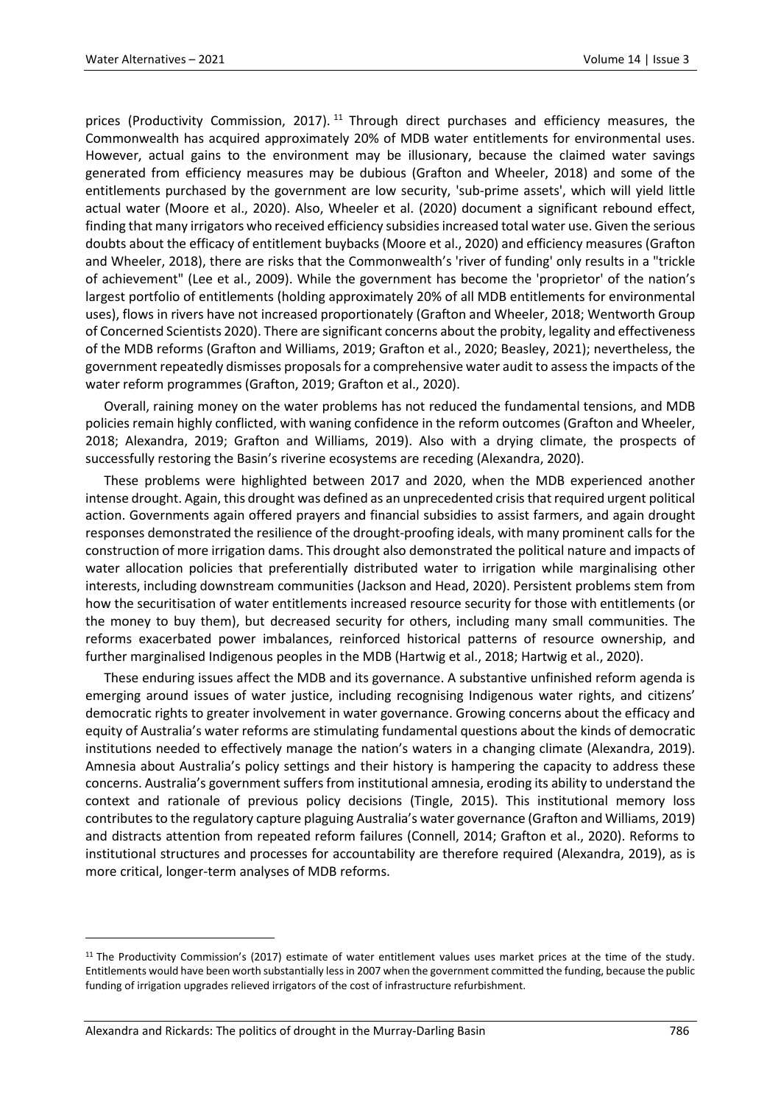prices (Productivity Commission, 2017).<sup>[11](#page-13-0)</sup> Through direct purchases and efficiency measures, the Commonwealth has acquired approximately 20% of MDB water entitlements for environmental uses. However, actual gains to the environment may be illusionary, because the claimed water savings generated from efficiency measures may be dubious (Grafton and Wheeler, 2018) and some of the entitlements purchased by the government are low security, 'sub-prime assets', which will yield little actual water (Moore et al., 2020). Also, Wheeler et al. (2020) document a significant rebound effect, finding that many irrigators who received efficiency subsidies increased total water use. Given the serious doubts about the efficacy of entitlement buybacks (Moore et al., 2020) and efficiency measures (Grafton and Wheeler, 2018), there are risks that the Commonwealth's 'river of funding' only results in a "trickle of achievement" (Lee et al., 2009). While the government has become the 'proprietor' of the nation's largest portfolio of entitlements (holding approximately 20% of all MDB entitlements for environmental uses), flows in rivers have not increased proportionately (Grafton and Wheeler, 2018; Wentworth Group of Concerned Scientists 2020). There are significant concerns about the probity, legality and effectiveness of the MDB reforms (Grafton and Williams, 2019; Grafton et al., 2020; Beasley, 2021); nevertheless, the government repeatedly dismisses proposals for a comprehensive water audit to assess the impacts of the water reform programmes (Grafton, 2019; Grafton et al., 2020).

Overall, raining money on the water problems has not reduced the fundamental tensions, and MDB policies remain highly conflicted, with waning confidence in the reform outcomes (Grafton and Wheeler, 2018; Alexandra, 2019; Grafton and Williams, 2019). Also with a drying climate, the prospects of successfully restoring the Basin's riverine ecosystems are receding (Alexandra, 2020).

These problems were highlighted between 2017 and 2020, when the MDB experienced another intense drought. Again, this drought was defined as an unprecedented crisis that required urgent political action. Governments again offered prayers and financial subsidies to assist farmers, and again drought responses demonstrated the resilience of the drought-proofing ideals, with many prominent calls for the construction of more irrigation dams. This drought also demonstrated the political nature and impacts of water allocation policies that preferentially distributed water to irrigation while marginalising other interests, including downstream communities (Jackson and Head, 2020). Persistent problems stem from how the securitisation of water entitlements increased resource security for those with entitlements (or the money to buy them), but decreased security for others, including many small communities. The reforms exacerbated power imbalances, reinforced historical patterns of resource ownership, and further marginalised Indigenous peoples in the MDB (Hartwig et al., 2018; Hartwig et al., 2020).

These enduring issues affect the MDB and its governance. A substantive unfinished reform agenda is emerging around issues of water justice, including recognising Indigenous water rights, and citizens' democratic rights to greater involvement in water governance. Growing concerns about the efficacy and equity of Australia's water reforms are stimulating fundamental questions about the kinds of democratic institutions needed to effectively manage the nation's waters in a changing climate (Alexandra, 2019). Amnesia about Australia's policy settings and their history is hampering the capacity to address these concerns. Australia's government suffers from institutional amnesia, eroding its ability to understand the context and rationale of previous policy decisions (Tingle, 2015). This institutional memory loss contributes to the regulatory capture plaguing Australia's water governance (Grafton and Williams, 2019) and distracts attention from repeated reform failures (Connell, 2014; Grafton et al., 2020). Reforms to institutional structures and processes for accountability are therefore required (Alexandra, 2019), as is more critical, longer-term analyses of MDB reforms.

 $\overline{a}$ 

<span id="page-13-0"></span><sup>&</sup>lt;sup>11</sup> The Productivity Commission's (2017) estimate of water entitlement values uses market prices at the time of the study. Entitlements would have been worth substantially less in 2007 when the government committed the funding, because the public funding of irrigation upgrades relieved irrigators of the cost of infrastructure refurbishment.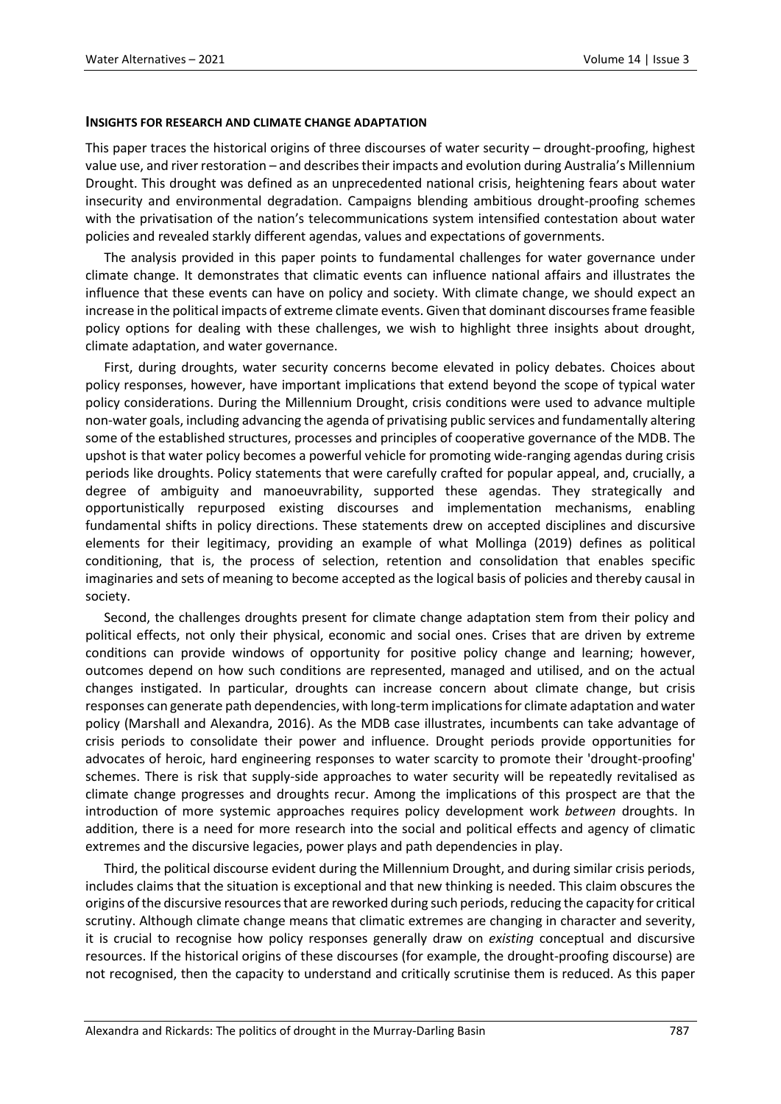#### **INSIGHTS FOR RESEARCH AND CLIMATE CHANGE ADAPTATION**

This paper traces the historical origins of three discourses of water security – drought-proofing, highest value use, and river restoration – and describes their impacts and evolution during Australia's Millennium Drought. This drought was defined as an unprecedented national crisis, heightening fears about water insecurity and environmental degradation. Campaigns blending ambitious drought-proofing schemes with the privatisation of the nation's telecommunications system intensified contestation about water policies and revealed starkly different agendas, values and expectations of governments.

The analysis provided in this paper points to fundamental challenges for water governance under climate change. It demonstrates that climatic events can influence national affairs and illustrates the influence that these events can have on policy and society. With climate change, we should expect an increase in the political impacts of extreme climate events. Given that dominant discourses frame feasible policy options for dealing with these challenges, we wish to highlight three insights about drought, climate adaptation, and water governance.

First, during droughts, water security concerns become elevated in policy debates. Choices about policy responses, however, have important implications that extend beyond the scope of typical water policy considerations. During the Millennium Drought, crisis conditions were used to advance multiple non-water goals, including advancing the agenda of privatising public services and fundamentally altering some of the established structures, processes and principles of cooperative governance of the MDB. The upshot is that water policy becomes a powerful vehicle for promoting wide-ranging agendas during crisis periods like droughts. Policy statements that were carefully crafted for popular appeal, and, crucially, a degree of ambiguity and manoeuvrability, supported these agendas. They strategically and opportunistically repurposed existing discourses and implementation mechanisms, enabling fundamental shifts in policy directions. These statements drew on accepted disciplines and discursive elements for their legitimacy, providing an example of what Mollinga (2019) defines as political conditioning, that is, the process of selection, retention and consolidation that enables specific imaginaries and sets of meaning to become accepted as the logical basis of policies and thereby causal in society.

Second, the challenges droughts present for climate change adaptation stem from their policy and political effects, not only their physical, economic and social ones. Crises that are driven by extreme conditions can provide windows of opportunity for positive policy change and learning; however, outcomes depend on how such conditions are represented, managed and utilised, and on the actual changes instigated. In particular, droughts can increase concern about climate change, but crisis responses can generate path dependencies, with long-term implications for climate adaptation and water policy (Marshall and Alexandra, 2016). As the MDB case illustrates, incumbents can take advantage of crisis periods to consolidate their power and influence. Drought periods provide opportunities for advocates of heroic, hard engineering responses to water scarcity to promote their 'drought-proofing' schemes. There is risk that supply-side approaches to water security will be repeatedly revitalised as climate change progresses and droughts recur. Among the implications of this prospect are that the introduction of more systemic approaches requires policy development work *between* droughts. In addition, there is a need for more research into the social and political effects and agency of climatic extremes and the discursive legacies, power plays and path dependencies in play.

Third, the political discourse evident during the Millennium Drought, and during similar crisis periods, includes claims that the situation is exceptional and that new thinking is needed. This claim obscures the origins of the discursive resources that are reworked during such periods, reducing the capacity for critical scrutiny. Although climate change means that climatic extremes are changing in character and severity, it is crucial to recognise how policy responses generally draw on *existing* conceptual and discursive resources. If the historical origins of these discourses (for example, the drought-proofing discourse) are not recognised, then the capacity to understand and critically scrutinise them is reduced. As this paper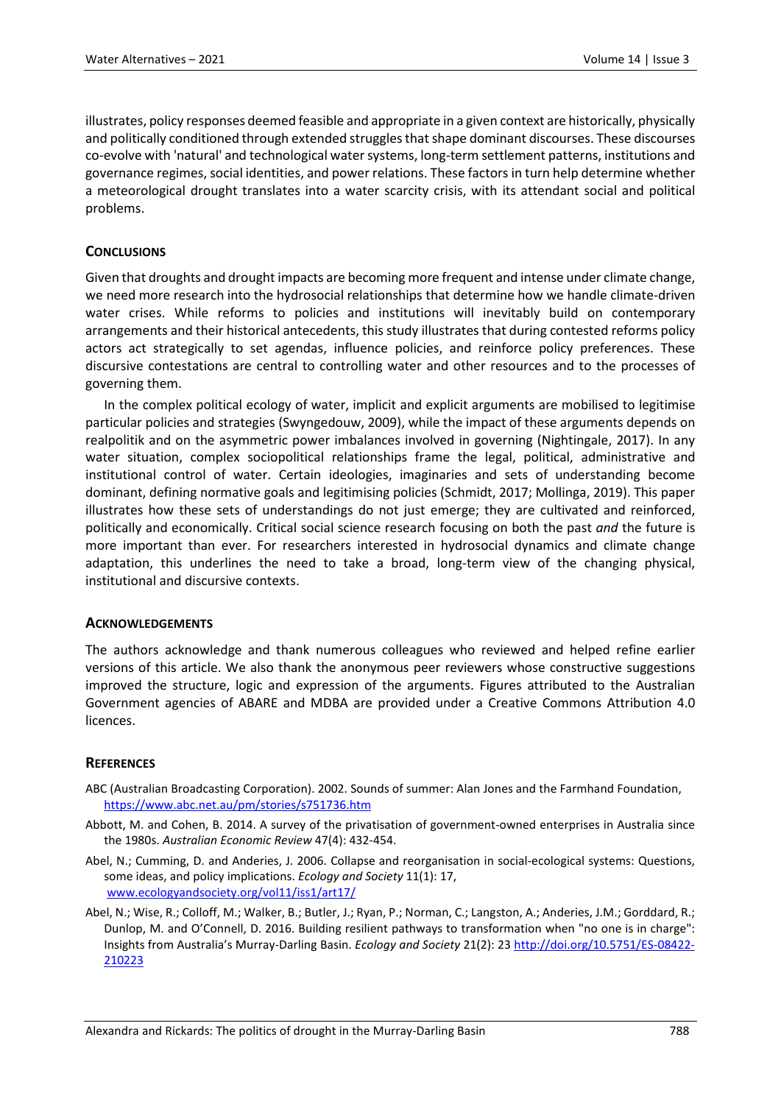illustrates, policy responses deemed feasible and appropriate in a given context are historically, physically and politically conditioned through extended struggles that shape dominant discourses. These discourses co-evolve with 'natural' and technological water systems, long-term settlement patterns, institutions and governance regimes, social identities, and power relations. These factors in turn help determine whether a meteorological drought translates into a water scarcity crisis, with its attendant social and political problems.

## **CONCLUSIONS**

Given that droughts and drought impacts are becoming more frequent and intense under climate change, we need more research into the hydrosocial relationships that determine how we handle climate-driven water crises. While reforms to policies and institutions will inevitably build on contemporary arrangements and their historical antecedents, this study illustrates that during contested reforms policy actors act strategically to set agendas, influence policies, and reinforce policy preferences. These discursive contestations are central to controlling water and other resources and to the processes of governing them.

In the complex political ecology of water, implicit and explicit arguments are mobilised to legitimise particular policies and strategies (Swyngedouw, 2009), while the impact of these arguments depends on realpolitik and on the asymmetric power imbalances involved in governing (Nightingale, 2017). In any water situation, complex sociopolitical relationships frame the legal, political, administrative and institutional control of water. Certain ideologies, imaginaries and sets of understanding become dominant, defining normative goals and legitimising policies (Schmidt, 2017; Mollinga, 2019). This paper illustrates how these sets of understandings do not just emerge; they are cultivated and reinforced, politically and economically. Critical social science research focusing on both the past *and* the future is more important than ever. For researchers interested in hydrosocial dynamics and climate change adaptation, this underlines the need to take a broad, long-term view of the changing physical, institutional and discursive contexts.

## **ACKNOWLEDGEMENTS**

The authors acknowledge and thank numerous colleagues who reviewed and helped refine earlier versions of this article. We also thank the anonymous peer reviewers whose constructive suggestions improved the structure, logic and expression of the arguments. Figures attributed to the Australian Government agencies of ABARE and MDBA are provided under a Creative Commons Attribution 4.0 licences.

## **REFERENCES**

- ABC (Australian Broadcasting Corporation). 2002. Sounds of summer: Alan Jones and the Farmhand Foundation, <https://www.abc.net.au/pm/stories/s751736.htm>
- Abbott, M. and Cohen, B. 2014. A survey of the privatisation of government-owned enterprises in Australia since the 1980s. *Australian Economic Review* 47(4): 432-454.
- Abel, N.; Cumming, D. and Anderies, J. 2006. Collapse and reorganisation in social-ecological systems: Questions, some ideas, and policy implications. *Ecology and Society* 11(1): 17, [www.ecologyandsociety.org/vol11/iss1/art17/](http://www.ecologyandsociety.org/vol11/iss1/art17/)
- Abel, N.; Wise, R.; Colloff, M.; Walker, B.; Butler, J.; Ryan, P.; Norman, C.; Langston, A.; Anderies, J.M.; Gorddard, R.; Dunlop, M. and O'Connell, D. 2016. Building resilient pathways to transformation when "no one is in charge": Insights from Australia's Murray-Darling Basin. *Ecology and Society* 21(2): 23 [http://doi.org/10.5751/ES-08422-](http://doi.org/10.5751/ES-08422-210223) [210223](http://doi.org/10.5751/ES-08422-210223)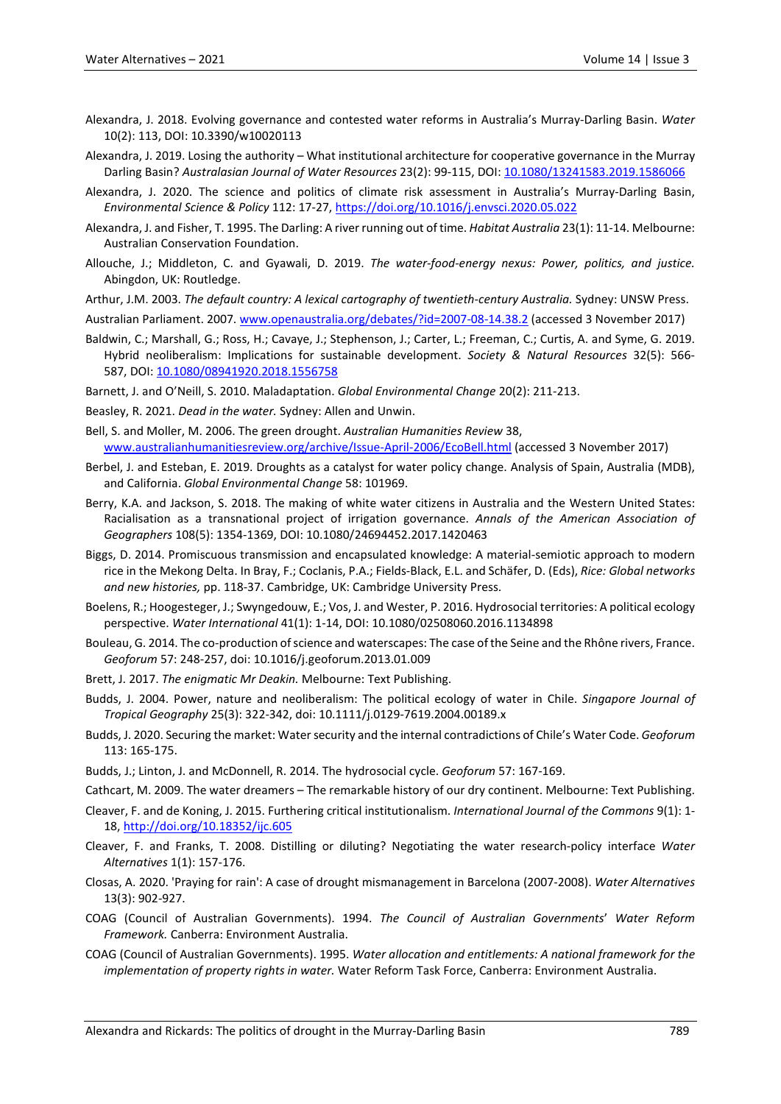- Alexandra, J. 2018. Evolving governance and contested water reforms in Australia's Murray-Darling Basin. *Water* 10(2): 113, DOI: 10.3390/w10020113
- Alexandra, J. 2019. Losing the authority What institutional architecture for cooperative governance in the Murray Darling Basin? *Australasian Journal of Water Resources* 23(2): 99-115, DOI[: 10.1080/13241583.2019.1586066](https://doi.org/10.1080/13241583.2019.1586066)
- Alexandra, J. 2020. The science and politics of climate risk assessment in Australia's Murray-Darling Basin, *Environmental Science & Policy* 112: 17-27,<https://doi.org/10.1016/j.envsci.2020.05.022>
- Alexandra, J. and Fisher, T. 1995. The Darling: A river running out of time. *Habitat Australia* 23(1): 11-14. Melbourne: Australian Conservation Foundation.
- Allouche, J.; Middleton, C. and Gyawali, D. 2019. *The water-food-energy nexus: Power, politics, and justice.* Abingdon, UK: Routledge.
- Arthur, J.M. 2003. *The default country: A lexical cartography of twentieth-century Australia.* Sydney: UNSW Press.
- Australian Parliament. 2007. [www.openaustralia.org/debates/?id=2007-08-14.38.2](http://www.openaustralia.org/debates/?id=2007-08-14.38.2) (accessed 3 November 2017)
- Baldwin, C.; Marshall, G.; Ross, H.; Cavaye, J.; Stephenson, J.; Carter, L.; Freeman, C.; Curtis, A. and Syme, G. 2019. Hybrid neoliberalism: Implications for sustainable development. *Society & Natural Resources* 32(5): 566- 587, DOI[: 10.1080/08941920.2018.1556758](https://doi.org/10.1080/08941920.2018.1556758)
- Barnett, J. and O'Neill, S. 2010. Maladaptation. *Global Environmental Change* 20(2): 211-213.
- Beasley, R. 2021. *Dead in the water.* Sydney: Allen and Unwin.
- Bell, S. and Moller, M. 2006. The green drought. *Australian Humanities Review* 38, [www.australianhumanitiesreview.org/archive/Issue-April-2006/EcoBell.html](http://www.australianhumanitiesreview.org/archive/Issue-April-2006/EcoBell.html) (accessed 3 November 2017)
- Berbel, J. and Esteban, E. 2019. Droughts as a catalyst for water policy change. Analysis of Spain, Australia (MDB), and California. *Global Environmental Change* 58: 101969.
- Berry, K.A. and Jackson, S. 2018. The making of white water citizens in Australia and the Western United States: Racialisation as a transnational project of irrigation governance. *Annals of the American Association of Geographers* 108(5): 1354-1369, DOI: 10.1080/24694452.2017.1420463
- Biggs, D. 2014. Promiscuous transmission and encapsulated knowledge: A material-semiotic approach to modern rice in the Mekong Delta. In Bray, F.; Coclanis, P.A.; Fields-Black, E.L. and Schäfer, D. (Eds), *Rice: Global networks and new histories,* pp. 118-37. Cambridge, UK: Cambridge University Press.
- Boelens, R.; Hoogesteger, J.; Swyngedouw, E.; Vos, J. and Wester, P. 2016. Hydrosocial territories: A political ecology perspective. *Water International* 41(1): 1-14, DOI: 10.1080/02508060.2016.1134898
- Bouleau, G. 2014. The co-production of science and waterscapes: The case of the Seine and the Rhône rivers, France. *Geoforum* 57: 248-257, doi: 10.1016/j.geoforum.2013.01.009
- Brett, J. 2017. *The enigmatic Mr Deakin.* Melbourne: Text Publishing.
- Budds, J. 2004. Power, nature and neoliberalism: The political ecology of water in Chile. *Singapore Journal of Tropical Geography* 25(3): 322-342, doi: 10.1111/j.0129-7619.2004.00189.x
- Budds, J. 2020. Securing the market: Water security and the internal contradictions of Chile's Water Code. *Geoforum* 113: 165-175.
- Budds, J.; Linton, J. and McDonnell, R. 2014. The hydrosocial cycle. *Geoforum* 57: 167-169.
- Cathcart, M. 2009. The water dreamers The remarkable history of our dry continent. Melbourne: Text Publishing.
- Cleaver, F. and de Koning, J. 2015. Furthering critical institutionalism. *International Journal of the Commons* 9(1): 1- 18, <http://doi.org/10.18352/ijc.605>
- Cleaver, F. and Franks, T. 2008. Distilling or diluting? Negotiating the water research-policy interface *Water Alternatives* 1(1): 157-176.
- Closas, A. 2020. 'Praying for rain': A case of drought mismanagement in Barcelona (2007-2008). *Water Alternatives* 13(3): 902-927.
- COAG (Council of Australian Governments). 1994. *The Council of Australian Governments*' *Water Reform Framework.* Canberra: Environment Australia.
- COAG (Council of Australian Governments). 1995. *Water allocation and entitlements: A national framework for the implementation of property rights in water.* Water Reform Task Force, Canberra: Environment Australia.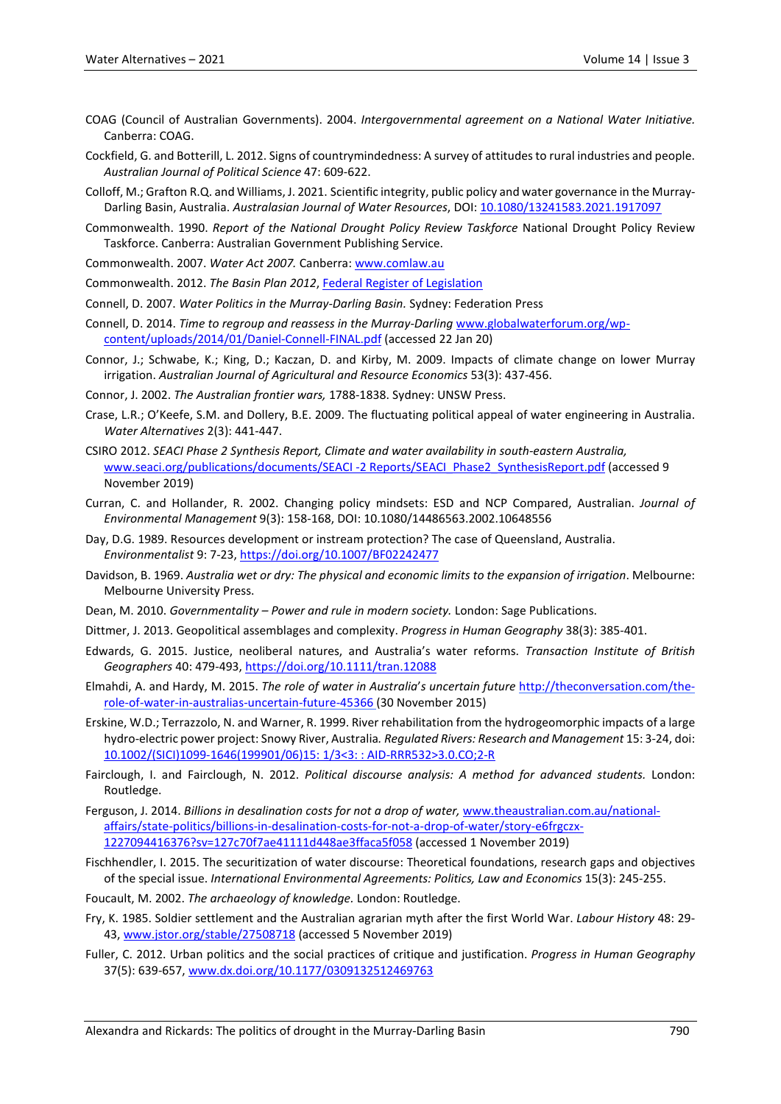- COAG (Council of Australian Governments). 2004. *Intergovernmental agreement on a National Water Initiative.* Canberra: COAG.
- Cockfield, G. and Botterill, L. 2012. Signs of countrymindedness: A survey of attitudes to rural industries and people. *Australian Journal of Political Science* 47: 609-622.
- Colloff, M.; Grafton R.Q. and Williams, J. 2021. Scientific integrity, public policy and water governance in the Murray-Darling Basin, Australia. *Australasian Journal of Water Resources*, DOI[: 10.1080/13241583.2021.1917097](https://doi.org/10.1080/13241583.2021.1917097)
- Commonwealth. 1990. *Report of the National Drought Policy Review Taskforce* National Drought Policy Review Taskforce. Canberra: Australian Government Publishing Service.

Commonwealth. 2007. *Water Act 2007.* Canberra[: www.comlaw.au](http://www.comlaw.au/)

Commonwealth. 2012. *The Basin Plan 2012*, [Federal Register of](https://www.legislation.gov.au/) Legislation

Connell, D. 2007. *Water Politics in the Murray-Darling Basin.* Sydney: Federation Press

- Connell, D. 2014. *Time to regroup and reassess in the Murray-Darling* [www.globalwaterforum.org/wp](http://www.globalwaterforum.org/wp-content/uploads/2014/01/Daniel-Connell-FINAL.pdf)[content/uploads/2014/01/Daniel-Connell-FINAL.pdf](http://www.globalwaterforum.org/wp-content/uploads/2014/01/Daniel-Connell-FINAL.pdf) (accessed 22 Jan 20)
- Connor, J.; Schwabe, K.; King, D.; Kaczan, D. and Kirby, M. 2009. Impacts of climate change on lower Murray irrigation. *Australian Journal of Agricultural and Resource Economics* 53(3): 437-456.

Connor, J. 2002. *The Australian frontier wars,* 1788-1838. Sydney: UNSW Press.

- Crase, L.R.; O'Keefe, S.M. and Dollery, B.E. 2009. The fluctuating political appeal of water engineering in Australia. *Water Alternatives* 2(3): 441-447.
- CSIRO 2012. *SEACI Phase 2 Synthesis Report, Climate and water availability in south-eastern Australia,* [www.seaci.org/publications/documents/SEACI -2 Reports/SEACI\\_Phase2\\_SynthesisReport.pdf](http://www.seaci.org/publications/documents/SEACI%20-2%20Reports/SEACI_Phase2_SynthesisReport.pdf) (accessed 9 November 2019)
- Curran, C. and Hollander, R. 2002. Changing policy mindsets: ESD and NCP Compared, Australian. *Journal of Environmental Management* 9(3): 158-168, DOI: 10.1080/14486563.2002.10648556
- Day, D.G. 1989. Resources development or instream protection? The case of Queensland, Australia. *Environmentalist* 9: 7-23, <https://doi.org/10.1007/BF02242477>
- Davidson, B. 1969. *Australia wet or dry: The physical and economic limits to the expansion of irrigation*. Melbourne: Melbourne University Press.
- Dean, M. 2010. *Governmentality – Power and rule in modern society.* London: Sage Publications.
- Dittmer, J. 2013. Geopolitical assemblages and complexity. *Progress in Human Geography* 38(3): 385-401.
- Edwards, G. 2015. Justice, neoliberal natures, and Australia's water reforms. *Transaction Institute of British Geographers* 40: 479-493, <https://doi.org/10.1111/tran.12088>
- Elmahdi, A. and Hardy, M. 2015. *The role of water in Australia*'*s uncertain future* [http://theconversation.com/the](http://theconversation.com/the-role-of-water-in-australias-uncertain-future-45366)[role-of-water-in-australias-uncertain-future-45366](http://theconversation.com/the-role-of-water-in-australias-uncertain-future-45366) (30 November 2015)
- Erskine, W.D.; Terrazzolo, N. and Warner, R. 1999. River rehabilitation from the hydrogeomorphic impacts of a large hydro-electric power project: Snowy River, Australia*. Regulated Rivers: Research and Management* 15: 3-24, doi: [10.1002/\(SICI\)1099-1646\(199901/06\)15: 1/3<3: : AID-RRR532>3.0.CO;2-R](https://doi.org/10.1002/(SICI)1099-1646(199901/06)15:1/3%3C3::AID-RRR532%3E3.0.CO;2-R)
- Fairclough, I. and Fairclough, N. 2012. *Political discourse analysis: A method for advanced students.* London: Routledge.
- Ferguson, J. 2014. *Billions in desalination costs for not a drop of water,* [www.theaustralian.com.au/national](http://www.theaustralian.com.au/national-affairs/state-politics/billions-in-desalination-costs-for-not-a-drop-of-water/story-e6frgczx-1227094416376?sv=127c70f7ae41111d448ae3ffaca5f058)[affairs/state-politics/billions-in-desalination-costs-for-not-a-drop-of-water/story-e6frgczx-](http://www.theaustralian.com.au/national-affairs/state-politics/billions-in-desalination-costs-for-not-a-drop-of-water/story-e6frgczx-1227094416376?sv=127c70f7ae41111d448ae3ffaca5f058)[1227094416376?sv=127c70f7ae41111d448ae3ffaca5f058](http://www.theaustralian.com.au/national-affairs/state-politics/billions-in-desalination-costs-for-not-a-drop-of-water/story-e6frgczx-1227094416376?sv=127c70f7ae41111d448ae3ffaca5f058) (accessed 1 November 2019)
- Fischhendler, I. 2015. The securitization of water discourse: Theoretical foundations, research gaps and objectives of the special issue. *International Environmental Agreements: Politics, Law and Economics* 15(3): 245-255.
- Foucault, M. 2002. *The archaeology of knowledge.* London: Routledge.
- Fry, K. 1985. Soldier settlement and the Australian agrarian myth after the first World War. *Labour History* 48: 29 43, [www.jstor.org/stable/27508718](http://www.jstor.org/stable/27508718) (accessed 5 November 2019)
- Fuller, C. 2012. Urban politics and the social practices of critique and justification. *Progress in Human Geography* 37(5): 639-657, [www.dx.doi.org/10.1177/0309132512469763](http://www.dx.doi.org/10.1177/0309132512469763)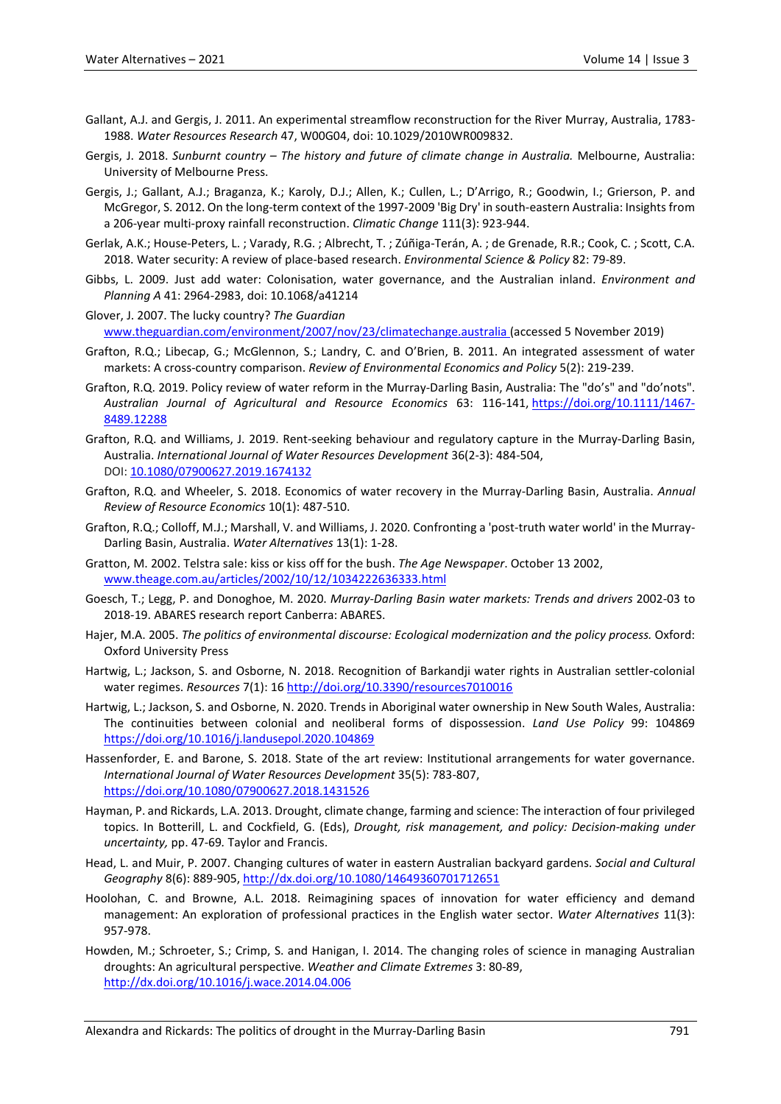- Gallant, A.J. and Gergis, J. 2011. [An experimental streamflow reconstruction for the River Murray, Australia, 1783-](http://climatehistory.com.au/wp-content/uploads/2009/12/Gallant_and_Gergis_WRR11.pdf) [1988.](http://climatehistory.com.au/wp-content/uploads/2009/12/Gallant_and_Gergis_WRR11.pdf) *Water Resources Research* 47, W00G04, doi: 10.1029/2010WR009832.
- Gergis, J. 2018. *Sunburnt country – The history and future of climate change in Australia.* Melbourne, Australia: University of Melbourne Press.
- Gergis, J.; Gallant, A.J.; Braganza, K.; Karoly, D.J.; Allen, K.; Cullen, L.; D'Arrigo, R.; Goodwin, I.; Grierson, P. and McGregor, S. 2012[. On the long-term context of the 1997-2009 'Big Dry' in south-eastern Australia: Insights from](http://climatehistory.com.au/wp-content/uploads/2009/12/Gergis_Climatic_Change_2011.pdf)  [a 206-year multi-proxy rainfall reconstruction.](http://climatehistory.com.au/wp-content/uploads/2009/12/Gergis_Climatic_Change_2011.pdf) *Climatic Change* 111(3): 923-944.
- Gerlak, A.K.; House-Peters, L. ; Varady, R.G. ; Albrecht, T. ; Zúñiga-Terán, A. ; de Grenade, R.R.; Cook, C. ; Scott, C.A. 2018. Water security: A review of place-based research. *Environmental Science & Policy* 82: 79-89.
- Gibbs, L. 2009. Just add water: Colonisation, water governance, and the Australian inland. *Environment and Planning A* 41: 2964-2983, doi: 10.1068/a41214
- Glover, J. 2007. The lucky country? *The Guardian* [www.theguardian.com/environment/2007/nov/23/climatechange.australia](http://www.theguardian.com/environment/2007/nov/23/climatechange.australia) (accessed 5 November 2019)
- Grafton, R.Q.; Libecap, G.; McGlennon, S.; Landry, C. and O'Brien, B. 2011. An integrated assessment of water markets: A cross-country comparison. *Review of Environmental Economics and Policy* 5(2): 219-239.
- Grafton, R.Q. 2019. Policy review of water reform in the Murray-Darling Basin, Australia: The "do's" and "do'nots". *Australian Journal of Agricultural and Resource Economics* 63: 116-141, [https://doi.org/10.1111/1467-](https://doi.org/10.1111/1467-8489.12288) [8489.12288](https://doi.org/10.1111/1467-8489.12288)
- Grafton, R.Q. and Williams, J. 2019. Rent-seeking behaviour and regulatory capture in the Murray-Darling Basin, Australia. *International Journal of Water Resources Development* 36(2-3): 484-504, DOI[: 10.1080/07900627.2019.1674132](https://doi.org/10.1080/07900627.2019.1674132)
- Grafton, R.Q. and Wheeler, S. 2018. Economics of water recovery in the Murray-Darling Basin, Australia. *Annual Review of Resource Economics* 10(1): 487-510.
- Grafton, R.Q.; Colloff, M.J.; Marshall, V. and Williams, J. 2020. Confronting a 'post-truth water world' in the Murray-Darling Basin, Australia. *Water Alternatives* 13(1): 1-28.
- Gratton, M. 2002. Telstra sale: kiss or kiss off for the bush. *The Age Newspaper*. October 13 2002, [www.theage.com.au/articles/2002/10/12/1034222636333.html](http://www.theage.com.au/articles/2002/10/12/1034222636333.html)
- Goesch, T.; Legg, P. and Donoghoe, M. 2020. *Murray-Darling Basin water markets: Trends and drivers* 2002-03 to 2018-19. ABARES research report Canberra: ABARES.
- Hajer, M.A. 2005. *The politics of environmental discourse: Ecological modernization and the policy process.* Oxford: Oxford University Press
- Hartwig, L.; Jackson, S. and Osborne, N. 2018. Recognition of Barkandji water rights in Australian settler-colonial water regimes. *Resources* 7(1): 16<http://doi.org/10.3390/resources7010016>
- Hartwig, L.; Jackson, S. and Osborne, N. 2020. Trends in Aboriginal water ownership in New South Wales, Australia: The continuities between colonial and neoliberal forms of dispossession. *Land Use Policy* 99: 104869 <https://doi.org/10.1016/j.landusepol.2020.104869>
- Hassenforder, E. and Barone, S. 2018. State of the art review: Institutional arrangements for water governance. *International Journal of Water Resources Development* 35(5): 783-807, <https://doi.org/10.1080/07900627.2018.1431526>
- Hayman, P. and Rickards, L.A. 2013. Drought, climate change, farming and science: The interaction of four privileged topics. In Botterill, L. and Cockfield, G. (Eds), *Drought, risk management, and policy: Decision-making under uncertainty,* pp. 47-69*.* Taylor and Francis.
- Head, L. and Muir, P. 2007. Changing cultures of water in eastern Australian backyard gardens. *Social and Cultural Geography* 8(6): 889-905, <http://dx.doi.org/10.1080/14649360701712651>
- Hoolohan, C. and Browne, A.L. 2018. Reimagining spaces of innovation for water efficiency and demand management: An exploration of professional practices in the English water sector. *Water Alternatives* 11(3): 957-978.
- Howden, M.; Schroeter, S.; Crimp, S. and Hanigan, I. 2014. The changing roles of science in managing Australian droughts: An agricultural perspective. *Weather and Climate Extremes* 3: 80-89, <http://dx.doi.org/10.1016/j.wace.2014.04.006>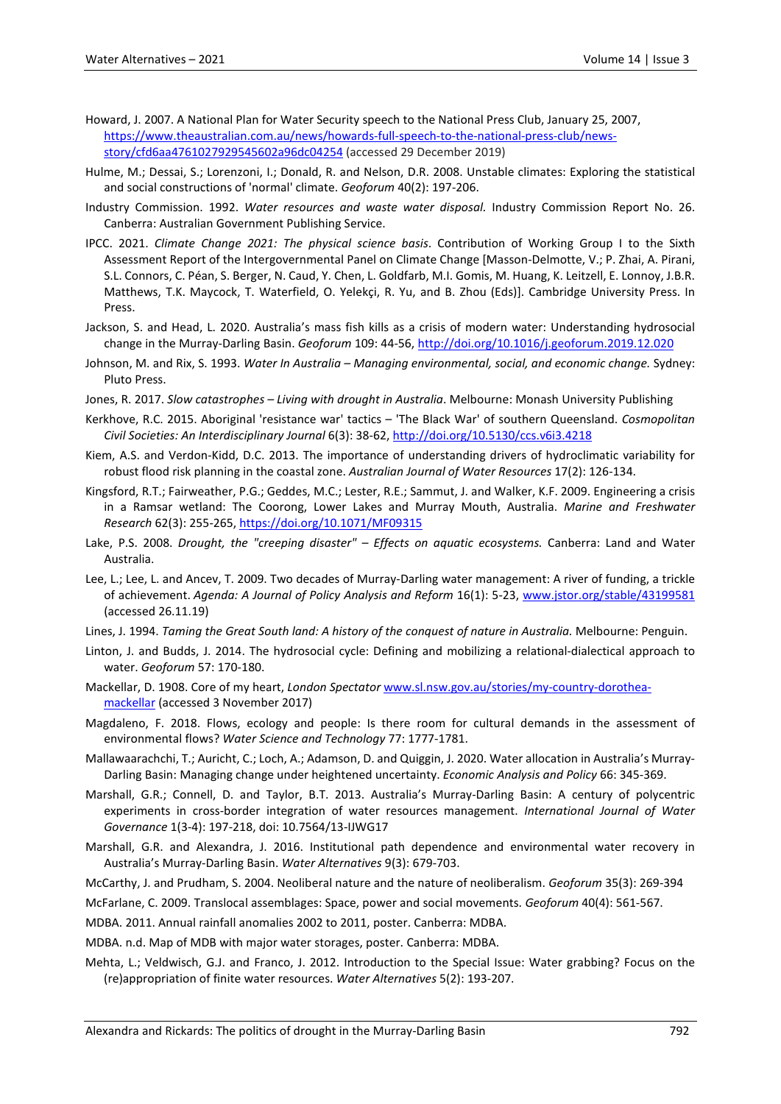- Howard, J. 2007. A National Plan for Water Security speech to the National Press Club, January 25, 2007, [https://www.theaustralian.com.au/news/howards-full-speech-to-the-national-press-club/news](https://www.theaustralian.com.au/news/howards-full-speech-to-the-national-press-club/news-story/cfd6aa4761027929545602a96dc04254A)[story/cfd6aa4761027929545602a96dc04254](https://www.theaustralian.com.au/news/howards-full-speech-to-the-national-press-club/news-story/cfd6aa4761027929545602a96dc04254A) (accessed 29 December 2019)
- Hulme, M.; Dessai, S.; Lorenzoni, I.; Donald, R. and Nelson, D.R. 2008. Unstable climates: Exploring the statistical and social constructions of 'normal' climate. *Geoforum* 40(2): 197-206.
- Industry Commission. 1992. *Water resources and waste water disposal.* Industry Commission Report No. 26. Canberra: Australian Government Publishing Service.
- IPCC. 2021. *Climate Change 2021: The physical science basis*. Contribution of Working Group I to the Sixth Assessment Report of the Intergovernmental Panel on Climate Change [Masson-Delmotte, V.; P. Zhai, A. Pirani, S.L. Connors, C. Péan, S. Berger, N. Caud, Y. Chen, L. Goldfarb, M.I. Gomis, M. Huang, K. Leitzell, E. Lonnoy, J.B.R. Matthews, T.K. Maycock, T. Waterfield, O. Yelekçi, R. Yu, and B. Zhou (Eds)]. Cambridge University Press. In Press.
- Jackson, S. and Head, L. 2020. Australia's mass fish kills as a crisis of modern water: Understanding hydrosocial change in the Murray-Darling Basin. *Geoforum* 109: 44-56, <http://doi.org/10.1016/j.geoforum.2019.12.020>
- Johnson, M. and Rix, S. 1993. *Water In Australia – Managing environmental, social, and economic change.* Sydney: Pluto Press.
- Jones, R. 2017. *Slow catastrophes – Living with drought in Australia*. Melbourne: Monash University Publishing
- Kerkhove, R.C. 2015. Aboriginal 'resistance war' tactics 'The Black War' of southern Queensland. *Cosmopolitan Civil Societies: An Interdisciplinary Journal* 6(3): 38-62, <http://doi.org/10.5130/ccs.v6i3.4218>
- Kiem, A.S. and Verdon-Kidd, D.C. 2013. The importance of understanding drivers of hydroclimatic variability for robust flood risk planning in the coastal zone. *Australian Journal of Water Resources* 17(2): 126-134.
- Kingsford, R.T.; Fairweather, P.G.; Geddes, M.C.; Lester, R.E.; Sammut, J. and Walker, K.F. 2009. Engineering a crisis in a Ramsar wetland: The Coorong, Lower Lakes and Murray Mouth, Australia. *Marine and Freshwater Research* 62(3): 255-265, <https://doi.org/10.1071/MF09315>
- Lake, P.S. 2008. *Drought, the "creeping disaster" – Effects on aquatic ecosystems.* Canberra: Land and Water Australia.
- Lee, L.; Lee, L. and Ancev, T. 2009. Two decades of Murray-Darling water management: A river of funding, a trickle of achievement. *Agenda: A Journal of Policy Analysis and Reform* 16(1): 5-23, [www.jstor.org/stable/43199581](http://www.jstor.org/stable/43199581) (accessed 26.11.19)
- Lines, J. 1994. *Taming the Great South land: A history of the conquest of nature in Australia.* Melbourne: Penguin.
- Linton, J. and Budds, J. 2014. The hydrosocial cycle: Defining and mobilizing a relational-dialectical approach to water. *Geoforum* 57: 170-180.
- Mackellar, D. 1908. Core of my heart, *London Spectator* [www.sl.nsw.gov.au/stories/my-country-dorothea](http://www.sl.nsw.gov.au/stories/my-country-dorothea-mackellar)[mackellar](http://www.sl.nsw.gov.au/stories/my-country-dorothea-mackellar) (accessed 3 November 2017)
- Magdaleno, F. 2018. Flows, ecology and people: Is there room for cultural demands in the assessment of environmental flows? *Water Science and Technology* 77: 1777-1781.
- Mallawaarachchi, T.; Auricht, C.; Loch, A.; Adamson, D. and Quiggin, J. 2020. Water allocation in Australia's Murray-Darling Basin: Managing change under heightened uncertainty. *Economic Analysis and Policy* 66: 345-369.
- Marshall, G.R.; Connell, D. and Taylor, B.T. 2013. Australia's Murray-Darling Basin: A century of polycentric experiments in cross-border integration of water resources management. *International Journal of Water Governance* 1(3-4): 197-218, doi: 10.7564/13-IJWG17
- Marshall, G.R. and Alexandra, J. 2016. Institutional path dependence and environmental water recovery in Australia's Murray-Darling Basin. *Water Alternatives* 9(3): 679-703.

McCarthy, J. and Prudham, S. 2004. Neoliberal nature and the nature of neoliberalism. *Geoforum* 35(3): 269-394

McFarlane, C. 2009. Translocal assemblages: Space, power and social movements. *Geoforum* 40(4): 561-567.

MDBA. 2011. Annual rainfall anomalies 2002 to 2011, poster. Canberra: MDBA.

MDBA. n.d. Map of MDB with major water storages, poster. Canberra: MDBA.

Mehta, L.; Veldwisch, G.J. and Franco, J. 2012. Introduction to the Special Issue: Water grabbing? Focus on the (re)appropriation of finite water resources. *Water Alternatives* 5(2): 193-207.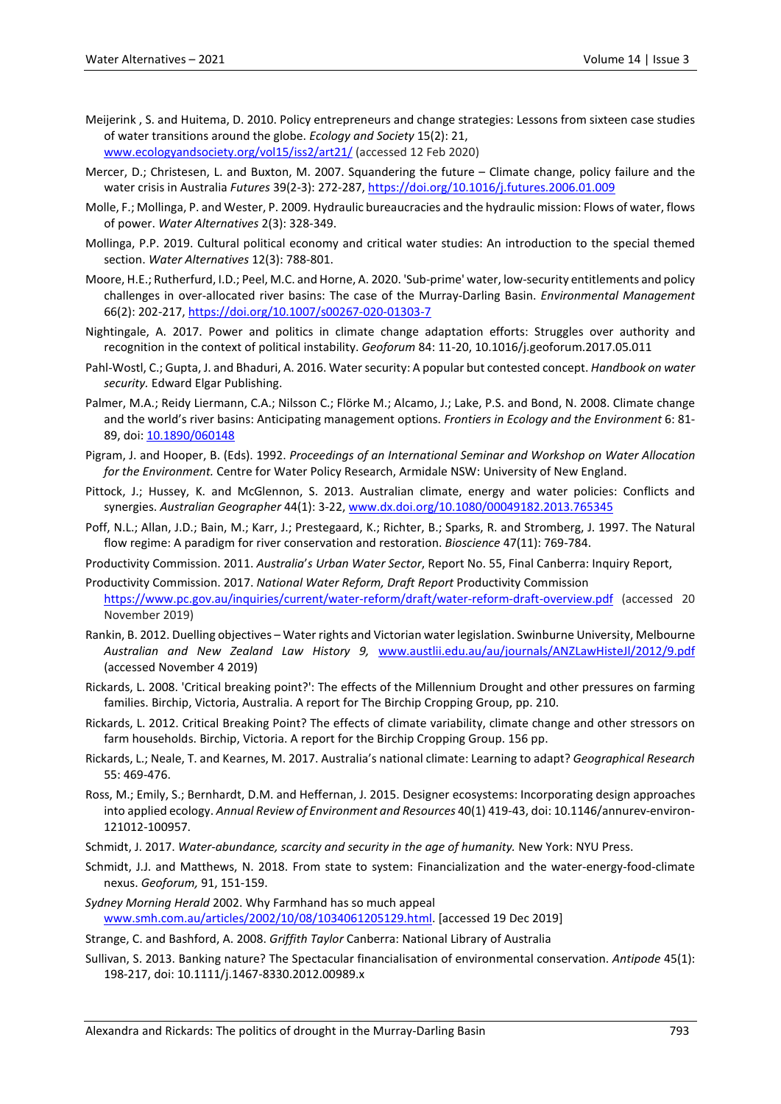- Meijerink , S. and Huitema, D. 2010. Policy entrepreneurs and change strategies: Lessons from sixteen case studies of water transitions around the globe. *Ecology and Society* 15(2): 21, [www.ecologyandsociety.org/vol15/iss2/art21/](http://www.ecologyandsociety.org/vol15/iss2/art21/) (accessed 12 Feb 2020)
- Mercer, D.; Christesen, L. and Buxton, M. 2007. Squandering the future Climate change, policy failure and the water crisis in Australia *Futures* 39(2-3): 272-287, <https://doi.org/10.1016/j.futures.2006.01.009>
- Molle, F.; Mollinga, P. and Wester, P. 2009. Hydraulic bureaucracies and the hydraulic mission: Flows of water, flows of power. *Water Alternatives* 2(3): 328-349.
- Mollinga, P.P. 2019. Cultural political economy and critical water studies: An introduction to the special themed section. *Water Alternatives* 12(3): 788-801.
- Moore, H.E.; Rutherfurd, I.D.; Peel, M.C. and Horne, A. 2020. 'Sub-prime' water, low-security entitlements and policy challenges in over-allocated river basins: The case of the Murray-Darling Basin. *Environmental Management* 66(2): 202-217, <https://doi.org/10.1007/s00267-020-01303-7>
- Nightingale, A. 2017. Power and politics in climate change adaptation efforts: Struggles over authority and recognition in the context of political instability. *Geoforum* 84: 11-20, 10.1016/j.geoforum.2017.05.011
- Pahl-Wostl, C.; Gupta, J. and Bhaduri, A. 2016. Water security: A popular but contested concept. *Handbook on water security.* Edward Elgar Publishing.
- Palmer, M.A.; Reidy Liermann, C.A.; Nilsson C.; Flörke M.; Alcamo, J.; Lake, P.S. and Bond, N. 2008. Climate change and the world's river basins: Anticipating management options. *Frontiers in Ecology and the Environment* 6: 81- 89, doi: [10.1890/060148](https://doi.org/10.1890/060148)
- Pigram, J. and Hooper, B. (Eds). 1992. *Proceedings of an International Seminar and Workshop on Water Allocation for the Environment.* Centre for Water Policy Research, Armidale NSW: University of New England.
- Pittock, J.; Hussey, K. and McGlennon, S. 2013. Australian climate, energy and water policies: Conflicts and synergies. *Australian Geographer* 44(1): 3-22, [www.dx.doi.org/10.1080/00049182.2013.765345](http://www.dx.doi.org/10.1080/00049182.2013.765345)
- Poff, N.L.; Allan, J.D.; Bain, M.; Karr, J.; Prestegaard, K.; Richter, B.; Sparks, R. and Stromberg, J. 1997. The Natural flow regime: A paradigm for river conservation and restoration. *Bioscience* 47(11): 769-784.

Productivity Commission. 2011. *Australia*'*s Urban Water Sector*, Report No. 55, Final Canberra: Inquiry Report,

- Productivity Commission. 2017. *National Water Reform, Draft Report* Productivity Commission <https://www.pc.gov.au/inquiries/current/water-reform/draft/water-reform-draft-overview.pdf> (accessed 20 November 2019)
- Rankin, B. 2012. Duelling objectives Water rights and Victorian water legislation. Swinburne University, Melbourne *Australian and New Zealand Law History 9,* [www.austlii.edu.au/au/journals/ANZLawHisteJl/2012/9.pdf](http://www.austlii.edu.au/au/journals/ANZLawHisteJl/2012/9.pdf) (accessed November 4 2019)
- Rickards, L. 2008. 'Critical breaking point?': The effects of the Millennium Drought and other pressures on farming families. Birchip, Victoria, Australia. A report for The Birchip Cropping Group, pp. 210.
- Rickards, L. 2012. Critical Breaking Point? The effects of climate variability, climate change and other stressors on farm households. Birchip, Victoria. A report for the Birchip Cropping Group. 156 pp.
- Rickards, L.; Neale, T. and Kearnes, M. 2017. Australia's national climate: Learning to adapt? *Geographical Research* 55: 469-476.
- Ross, M.; Emily, S.; Bernhardt, D.M. and Heffernan, J. 2015. Designer ecosystems: Incorporating design approaches into applied ecology. *Annual Review of Environment and Resources* 40(1) 419-43, doi: 10.1146/annurev-environ-121012-100957.
- Schmidt, J. 2017. *Water-abundance, scarcity and security in the age of humanity.* New York: NYU Press.
- Schmidt, J.J. and Matthews, N. 2018. From state to system: Financialization and the water-energy-food-climate nexus. *Geoforum,* 91, 151-159.

*Sydney Morning Herald* 2002. Why Farmhand has so much appeal [www.smh.com.au/articles/2002/10/08/1034061205129.html.](http://www.smh.com.au/articles/2002/10/08/1034061205129.html) [accessed 19 Dec 2019]

Strange, C. and Bashford, A. 2008. *Griffith Taylor* Canberra: National Library of Australia

Sullivan, S. 2013. Banking nature? The Spectacular financialisation of environmental conservation. *Antipode* 45(1): 198-217, doi: 10.1111/j.1467-8330.2012.00989.x